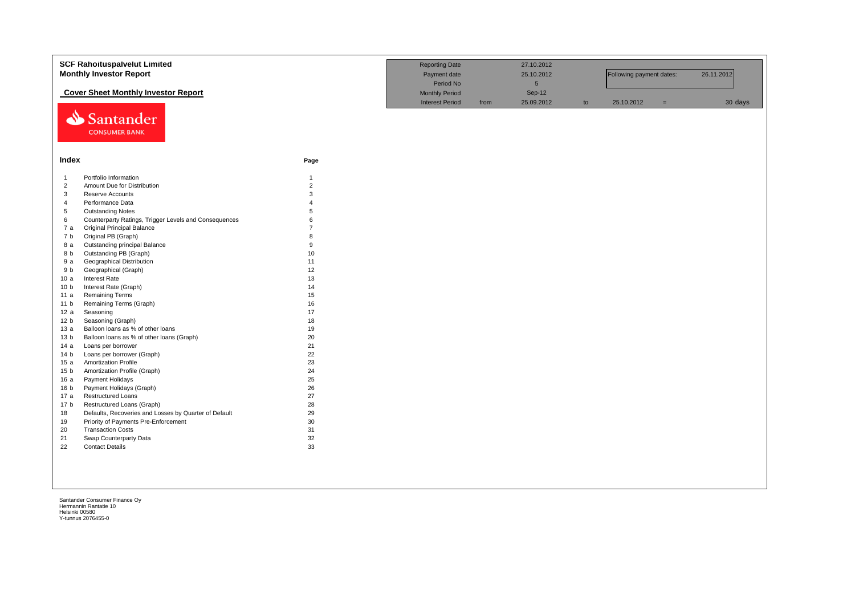|                       | <b>SCF Rahoituspalvelut Limited</b>                   |                | <b>Reporting Date</b>  |      | 27.10.2012 |    |                          |     |            |
|-----------------------|-------------------------------------------------------|----------------|------------------------|------|------------|----|--------------------------|-----|------------|
|                       | <b>Monthly Investor Report</b>                        |                | Payment date           |      | 25.10.2012 |    | Following payment dates: |     | 26.11.2012 |
|                       |                                                       |                | Period No              |      | $\sqrt{5}$ |    |                          |     |            |
|                       | <b>Cover Sheet Monthly Investor Report</b>            |                | <b>Monthly Period</b>  |      | Sep-12     |    |                          |     |            |
|                       |                                                       |                | <b>Interest Period</b> | from | 25.09.2012 | to | 25.10.2012               | $=$ | 30 days    |
|                       |                                                       |                |                        |      |            |    |                          |     |            |
|                       | Santander                                             |                |                        |      |            |    |                          |     |            |
|                       | <b>CONSUMER BANK</b>                                  |                |                        |      |            |    |                          |     |            |
|                       |                                                       |                |                        |      |            |    |                          |     |            |
|                       |                                                       |                |                        |      |            |    |                          |     |            |
| Index                 |                                                       | Page           |                        |      |            |    |                          |     |            |
|                       |                                                       |                |                        |      |            |    |                          |     |            |
| $\overline{1}$        | Portfolio Information                                 | $\mathbf{1}$   |                        |      |            |    |                          |     |            |
| $\overline{2}$        | Amount Due for Distribution                           | $\overline{2}$ |                        |      |            |    |                          |     |            |
| 3                     | Reserve Accounts                                      | 3              |                        |      |            |    |                          |     |            |
| $\overline{4}$        | Performance Data                                      | $\Delta$       |                        |      |            |    |                          |     |            |
| 5                     | <b>Outstanding Notes</b>                              | 5              |                        |      |            |    |                          |     |            |
| 6                     | Counterparty Ratings, Trigger Levels and Consequences | 6              |                        |      |            |    |                          |     |            |
| 7a                    | <b>Original Principal Balance</b>                     |                |                        |      |            |    |                          |     |            |
| 7b                    | Original PB (Graph)                                   | $\mathsf{R}$   |                        |      |            |    |                          |     |            |
| 8 a                   | Outstanding principal Balance                         | 9              |                        |      |            |    |                          |     |            |
| 8 b                   | Outstanding PB (Graph)                                | 10             |                        |      |            |    |                          |     |            |
| 9a                    | <b>Geographical Distribution</b>                      | 11             |                        |      |            |    |                          |     |            |
| 9 b                   | Geographical (Graph)                                  | 12             |                        |      |            |    |                          |     |            |
| 10a                   | <b>Interest Rate</b>                                  | 13             |                        |      |            |    |                          |     |            |
| 10 <sub>b</sub>       | Interest Rate (Graph)                                 | 14             |                        |      |            |    |                          |     |            |
| 11 a                  | <b>Remaining Terms</b>                                | 15             |                        |      |            |    |                          |     |            |
| 11 <sub>b</sub>       | Remaining Terms (Graph)                               | 16             |                        |      |            |    |                          |     |            |
| 12 a                  | Seasoning                                             | 17             |                        |      |            |    |                          |     |            |
| 12 <sub>b</sub>       | Seasoning (Graph)                                     | 18             |                        |      |            |    |                          |     |            |
| 13a                   | Balloon loans as % of other loans                     | 19             |                        |      |            |    |                          |     |            |
| 13 <sub>b</sub>       | Balloon loans as % of other loans (Graph)             | 20             |                        |      |            |    |                          |     |            |
| 14a                   | Loans per borrower                                    | 21             |                        |      |            |    |                          |     |            |
| 14 <sub>b</sub>       | Loans per borrower (Graph)                            | 22<br>23       |                        |      |            |    |                          |     |            |
| 15a                   | <b>Amortization Profile</b>                           |                |                        |      |            |    |                          |     |            |
| 15 <sub>b</sub>       | Amortization Profile (Graph)<br>Payment Holidays      | 24<br>25       |                        |      |            |    |                          |     |            |
| 16a                   | Payment Holidays (Graph)                              | 26             |                        |      |            |    |                          |     |            |
| 16 b<br>17 a          | <b>Restructured Loans</b>                             | 27             |                        |      |            |    |                          |     |            |
|                       | Restructured Loans (Graph)                            | 28             |                        |      |            |    |                          |     |            |
| 17 <sub>b</sub><br>18 | Defaults, Recoveries and Losses by Quarter of Default | 29             |                        |      |            |    |                          |     |            |
| 19                    | Priority of Payments Pre-Enforcement                  | 30             |                        |      |            |    |                          |     |            |
| 20                    | <b>Transaction Costs</b>                              | 31             |                        |      |            |    |                          |     |            |
| 21                    | Swap Counterparty Data                                | 32             |                        |      |            |    |                          |     |            |
| 22                    | <b>Contact Details</b>                                | 33             |                        |      |            |    |                          |     |            |
|                       |                                                       |                |                        |      |            |    |                          |     |            |
|                       |                                                       |                |                        |      |            |    |                          |     |            |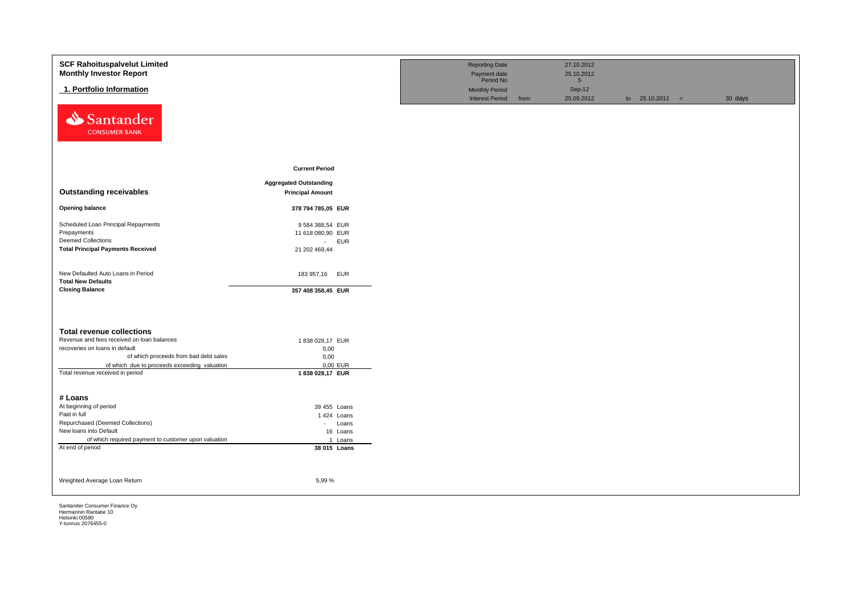| <b>SCF Rahoituspalvelut Limited</b><br><b>Monthly Investor Report</b> |                               | <b>Reporting Date</b><br>Payment date                        |      | 27.10.2012<br>25.10.2012                |                   |         |
|-----------------------------------------------------------------------|-------------------------------|--------------------------------------------------------------|------|-----------------------------------------|-------------------|---------|
| 1. Portfolio Information                                              |                               | Period No<br><b>Monthly Period</b><br><b>Interest Period</b> | from | $5\overline{)}$<br>Sep-12<br>25.09.2012 | to $25.10.2012 =$ | 30 days |
| N<br>Santander<br><b>CONSUMER BANK</b>                                |                               |                                                              |      |                                         |                   |         |
|                                                                       | <b>Current Period</b>         |                                                              |      |                                         |                   |         |
|                                                                       | <b>Aggregated Outstanding</b> |                                                              |      |                                         |                   |         |
| <b>Outstanding receivables</b>                                        | <b>Principal Amount</b>       |                                                              |      |                                         |                   |         |
| <b>Opening balance</b>                                                | 378 794 785,05 EUR            |                                                              |      |                                         |                   |         |
| Scheduled Loan Principal Repayments                                   | 9 584 388,54 EUR              |                                                              |      |                                         |                   |         |
| Prepayments                                                           | 11 618 080,90 EUR             |                                                              |      |                                         |                   |         |
| <b>Deemed Collections</b>                                             | - EUR                         |                                                              |      |                                         |                   |         |
| <b>Total Principal Payments Received</b>                              | 21 202 469,44                 |                                                              |      |                                         |                   |         |
| New Defaulted Auto Loans in Period<br><b>Total New Defaults</b>       | 183 957,16 EUR                |                                                              |      |                                         |                   |         |
| <b>Closing Balance</b>                                                | 357 408 358,45 EUR            |                                                              |      |                                         |                   |         |
|                                                                       |                               |                                                              |      |                                         |                   |         |
| <b>Total revenue collections</b>                                      |                               |                                                              |      |                                         |                   |         |
| Revenue and fees received on loan balances                            | 1 838 028,17 EUR              |                                                              |      |                                         |                   |         |
| recoveries on loans in default                                        | 0,00                          |                                                              |      |                                         |                   |         |
| of which proceeds from bad debt sales                                 | 0,00                          |                                                              |      |                                         |                   |         |
| of which due to proceeds exceeding valuation                          | 0,00 EUR                      |                                                              |      |                                         |                   |         |
| Total revenue received in period                                      | 1838 028,17 EUR               |                                                              |      |                                         |                   |         |
|                                                                       |                               |                                                              |      |                                         |                   |         |
| # Loans                                                               |                               |                                                              |      |                                         |                   |         |
| At beginning of period                                                | 39 455 Loans                  |                                                              |      |                                         |                   |         |
| Paid in full                                                          | 1424 Loans                    |                                                              |      |                                         |                   |         |
| Repurchased (Deemed Collections)                                      | Loans<br>$\sim 100$           |                                                              |      |                                         |                   |         |
| New loans into Default                                                | 16 Loans                      |                                                              |      |                                         |                   |         |
| of which required payment to customer upon valuation                  | 1 Loans                       |                                                              |      |                                         |                   |         |
| At end of period                                                      | 38 015 Loans                  |                                                              |      |                                         |                   |         |
|                                                                       |                               |                                                              |      |                                         |                   |         |
| Weighted Average Loan Return                                          | 5,99%                         |                                                              |      |                                         |                   |         |
|                                                                       |                               |                                                              |      |                                         |                   |         |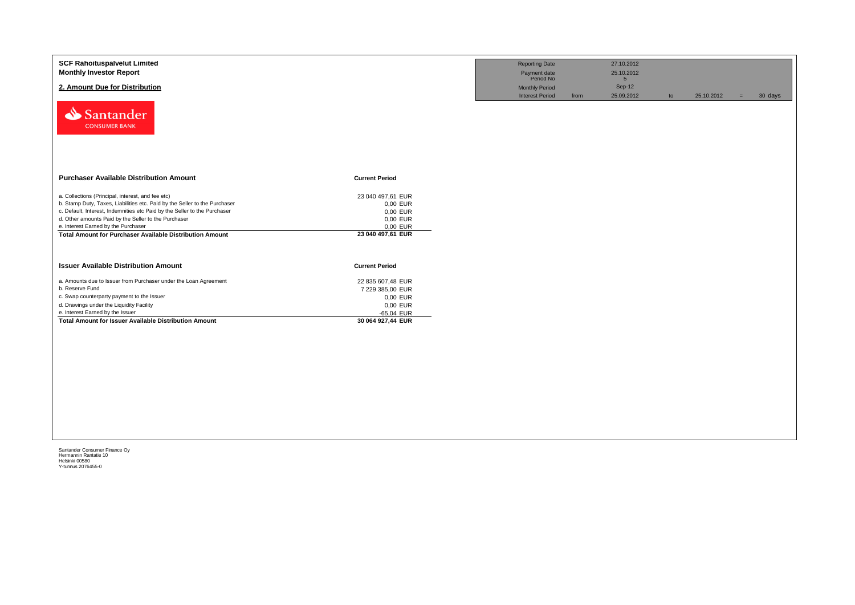| <b>SCF Rahoituspalvelut Limited</b><br><b>Monthly Investor Report</b><br>2. Amount Due for Distribution<br>Santander<br><b>CONSUMER BANK</b>                                                                                                                                                                                                                                   |                                                                                                    | <b>Reporting Date</b><br>Payment date<br>Period No<br><b>Monthly Period</b><br><b>Interest Period</b> | from | 27.10.2012<br>25.10.2012<br>5 <sup>5</sup><br>Sep-12<br>25.09.2012 | to | 25.10.2012 | $=$ | 30 days |
|--------------------------------------------------------------------------------------------------------------------------------------------------------------------------------------------------------------------------------------------------------------------------------------------------------------------------------------------------------------------------------|----------------------------------------------------------------------------------------------------|-------------------------------------------------------------------------------------------------------|------|--------------------------------------------------------------------|----|------------|-----|---------|
| <b>Purchaser Available Distribution Amount</b>                                                                                                                                                                                                                                                                                                                                 | <b>Current Period</b>                                                                              |                                                                                                       |      |                                                                    |    |            |     |         |
| a. Collections (Principal, interest, and fee etc)<br>b. Stamp Duty, Taxes, Liabilities etc. Paid by the Seller to the Purchaser<br>c. Default, Interest, Indemnities etc Paid by the Seller to the Purchaser<br>d. Other amounts Paid by the Seller to the Purchaser<br>e. Interest Earned by the Purchaser<br><b>Total Amount for Purchaser Available Distribution Amount</b> | 23 040 497,61 EUR<br>0,00 EUR<br>0,00 EUR<br>0,00 EUR<br>0,00 EUR<br>23 040 497,61 EUR             |                                                                                                       |      |                                                                    |    |            |     |         |
| <b>Issuer Available Distribution Amount</b>                                                                                                                                                                                                                                                                                                                                    | <b>Current Period</b>                                                                              |                                                                                                       |      |                                                                    |    |            |     |         |
| a. Amounts due to Issuer from Purchaser under the Loan Agreement<br>b. Reserve Fund<br>c. Swap counterparty payment to the Issuer<br>d. Drawings under the Liquidity Facility<br>e. Interest Earned by the Issuer<br><b>Total Amount for Issuer Available Distribution Amount</b>                                                                                              | 22 835 607,48 EUR<br>7 229 385,00 EUR<br>0,00 EUR<br>0,00 EUR<br>$-65,04$ EUR<br>30 064 927,44 EUR |                                                                                                       |      |                                                                    |    |            |     |         |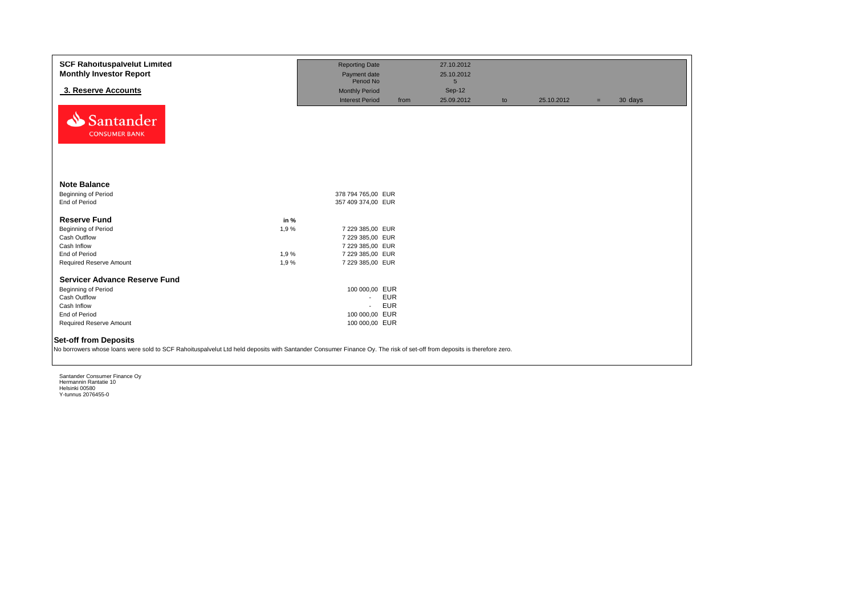| <b>SCF Rahoituspalvelut Limited</b><br><b>Monthly Investor Report</b><br>3. Reserve Accounts<br>Santander<br><b>CONSUMER BANK</b>                                                                                                                                                                                                        |                              | <b>Reporting Date</b><br>Payment date<br>Period No<br><b>Monthly Period</b><br><b>Interest Period</b>                                        | from                     | 27.10.2012<br>25.10.2012<br>$5\overline{5}$<br>Sep-12<br>25.09.2012 | to | 25.10.2012 | $=$ | 30 days |
|------------------------------------------------------------------------------------------------------------------------------------------------------------------------------------------------------------------------------------------------------------------------------------------------------------------------------------------|------------------------------|----------------------------------------------------------------------------------------------------------------------------------------------|--------------------------|---------------------------------------------------------------------|----|------------|-----|---------|
| <b>Note Balance</b><br><b>Beginning of Period</b><br>End of Period<br><b>Reserve Fund</b><br>Beginning of Period<br>Cash Outflow<br>Cash Inflow<br>End of Period<br>Required Reserve Amount                                                                                                                                              | in %<br>1,9%<br>1,9%<br>1,9% | 378 794 765,00 EUR<br>357 409 374,00 EUR<br>7 229 385,00 EUR<br>7 229 385,00 EUR<br>7 229 385,00 EUR<br>7 229 385,00 EUR<br>7 229 385,00 EUR |                          |                                                                     |    |            |     |         |
| Servicer Advance Reserve Fund<br>Beginning of Period<br>Cash Outflow<br>Cash Inflow<br>End of Period<br>Required Reserve Amount<br><b>Set-off from Deposits</b><br>No borrowers whose loans were sold to SCF Rahoituspalvelut Ltd held deposits with Santander Consumer Finance Oy. The risk of set-off from deposits is therefore zero. |                              | 100 000,00 EUR<br>$\sim$<br>$\overline{\phantom{a}}$<br>100 000,00 EUR<br>100 000,00 EUR                                                     | <b>EUR</b><br><b>EUR</b> |                                                                     |    |            |     |         |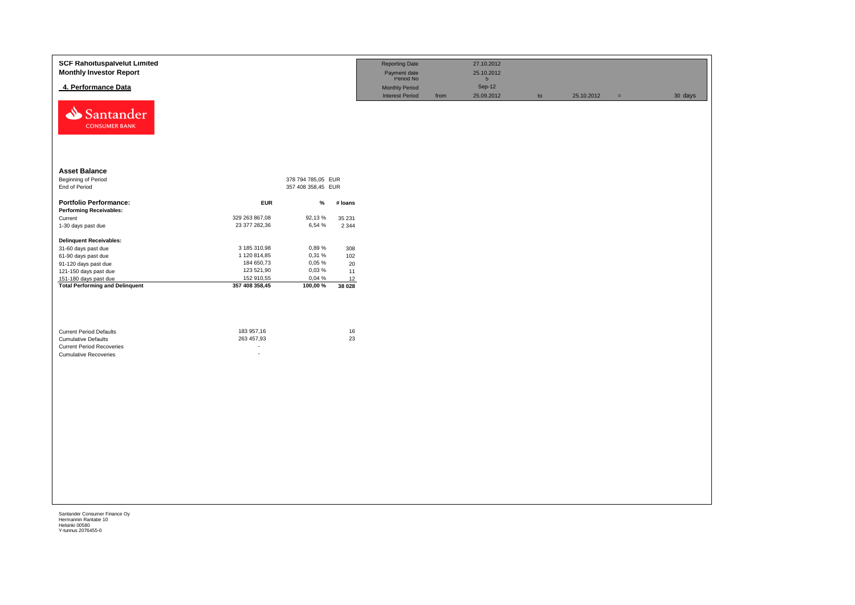| <b>SCF Rahoituspalvelut Limited</b><br><b>Monthly Investor Report</b>                                                            |                                          |                    |          | <b>Reporting Date</b><br>Payment date<br>Period No |      | 27.10.2012<br>25.10.2012<br>$5\phantom{.0}$ |    |            |     |         |
|----------------------------------------------------------------------------------------------------------------------------------|------------------------------------------|--------------------|----------|----------------------------------------------------|------|---------------------------------------------|----|------------|-----|---------|
| 4. Performance Data                                                                                                              |                                          |                    |          | <b>Monthly Period</b>                              |      | Sep-12                                      |    |            |     |         |
| Santander<br><b>CONSUMER BANK</b>                                                                                                |                                          |                    |          | <b>Interest Period</b>                             | from | 25.09.2012                                  | to | 25.10.2012 | $=$ | 30 days |
| <b>Asset Balance</b>                                                                                                             |                                          |                    |          |                                                    |      |                                             |    |            |     |         |
| Beginning of Period                                                                                                              |                                          | 378 794 785,05 EUR |          |                                                    |      |                                             |    |            |     |         |
| End of Period                                                                                                                    |                                          | 357 408 358,45 EUR |          |                                                    |      |                                             |    |            |     |         |
| <b>Portfolio Performance:</b><br><b>Performing Receivables:</b>                                                                  | <b>EUR</b>                               | $\%$               | # loans  |                                                    |      |                                             |    |            |     |         |
| Current                                                                                                                          | 329 263 867,08                           | 92,13%             | 35 231   |                                                    |      |                                             |    |            |     |         |
| 1-30 days past due                                                                                                               | 23 377 282,36                            | 6,54 %             | 2 3 4 4  |                                                    |      |                                             |    |            |     |         |
| <b>Delinquent Receivables:</b>                                                                                                   |                                          |                    |          |                                                    |      |                                             |    |            |     |         |
| 31-60 days past due                                                                                                              | 3 185 310,98                             | 0,89%              | 308      |                                                    |      |                                             |    |            |     |         |
| 61-90 days past due                                                                                                              | 1 120 814,85<br>184 650,73               | 0,31 %             | 102      |                                                    |      |                                             |    |            |     |         |
| 91-120 days past due                                                                                                             | 123 521,90                               | 0,05%<br>0,03%     | 20       |                                                    |      |                                             |    |            |     |         |
| 121-150 days past due<br>151-180 days past due                                                                                   | 152 910,55                               | 0,04 %             | 11<br>12 |                                                    |      |                                             |    |            |     |         |
| <b>Total Performing and Delinquent</b>                                                                                           | 357 408 358,45                           | 100,00 %           | 38 0 28  |                                                    |      |                                             |    |            |     |         |
| <b>Current Period Defaults</b><br><b>Cumulative Defaults</b><br><b>Current Period Recoveries</b><br><b>Cumulative Recoveries</b> | 183 957,16<br>263 457,93<br>$\sim$<br>×. |                    | 16<br>23 |                                                    |      |                                             |    |            |     |         |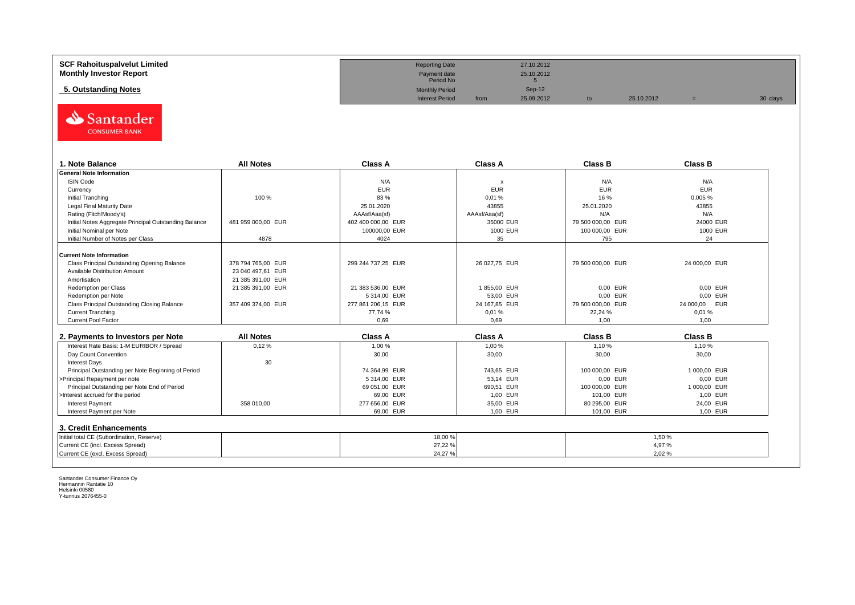| <b>SCF Rahoituspalvelut Limited</b> | <b>Reporting Date</b>     |      | 27.10.2012 |            |         |
|-------------------------------------|---------------------------|------|------------|------------|---------|
| <b>Monthly Investor Report</b>      | Payment date<br>Period No |      | 25.10.2012 |            |         |
| 5. Outstanding Notes                | <b>Monthly Period</b>     |      | Sep-12     |            |         |
|                                     | <b>Interest Period</b>    | from | 25.09.2012 | 25.10.2012 | 30 days |



| 1. Note Balance                                       | <b>All Notes</b>   | <b>Class A</b>     | <b>Class A</b>            | <b>Class B</b>    | <b>Class B</b> |
|-------------------------------------------------------|--------------------|--------------------|---------------------------|-------------------|----------------|
| <b>General Note Information</b>                       |                    |                    |                           |                   |                |
| <b>ISIN Code</b>                                      |                    | N/A                | $\boldsymbol{\mathsf{x}}$ | N/A               | N/A            |
| Currency                                              |                    | <b>EUR</b>         | <b>EUR</b>                | <b>EUR</b>        | <b>EUR</b>     |
| Initial Tranching                                     | 100 %              | 83 %               | 0,01%                     | 16 %              | 0,005%         |
| Legal Final Maturity Date                             |                    | 25.01.2020         | 43855                     | 25.01.2020        | 43855          |
| Rating (Fitch/Moody's)                                |                    | AAAsf/Aaa(sf)      | AAAsf/Aaa(sf)             | N/A               | N/A            |
| Initial Notes Aggregate Principal Outstanding Balance | 481 959 000.00 EUR | 402 400 000.00 EUR | 35000 EUR                 | 79 500 000.00 EUR | 24000 EUR      |
| Initial Nominal per Note                              |                    | 100000,00 EUR      | 1000 EUR                  | 100 000,00 EUR    | 1000 EUR       |
| Initial Number of Notes per Class                     | 4878               | 4024               | 35                        | 795               | 24             |
|                                                       |                    |                    |                           |                   |                |
| <b>Current Note Information</b>                       |                    |                    |                           |                   |                |
| Class Principal Outstanding Opening Balance           | 378 794 765.00 EUR | 299 244 737.25 EUR | 26 027,75 EUR             | 79 500 000,00 EUR | 24 000,00 EUR  |
| Available Distribution Amount                         | 23 040 497.61 EUR  |                    |                           |                   |                |
| Amortisation                                          | 21 385 391.00 EUR  |                    |                           |                   |                |
| Redemption per Class                                  | 21 385 391,00 EUR  | 21 383 536,00 EUR  | 1855,00 EUR               | 0,00 EUR          | 0.00 EUR       |
| Redemption per Note                                   |                    | 5 314,00 EUR       | 53,00 EUR                 | 0,00 EUR          | 0.00 EUR       |
| Class Principal Outstanding Closing Balance           | 357 409 374.00 EUR | 277 861 206,15 EUR | 24 167,85 EUR             | 79 500 000,00 EUR | 24 000,00 EUR  |
| <b>Current Tranching</b>                              |                    | 77.74 %            | 0,01%                     | 22.24 %           | 0.01%          |
| <b>Current Pool Factor</b>                            |                    | 0.69               | 0.69                      | 1.00              | 1.00           |

| 2. Payments to Investors per Note                  | <b>All Notes</b> | <b>Class A</b> | <b>Class A</b> | <b>Class B</b> | <b>Class B</b> |
|----------------------------------------------------|------------------|----------------|----------------|----------------|----------------|
| Interest Rate Basis: 1-M EURIBOR / Spread          | 0,12%            | 1,00 %         | 1.00 %         | 1.10%          | 1,10 %         |
| Day Count Convention                               |                  | 30,00          | 30,00          | 30,00          | 30,00          |
| <b>Interest Days</b>                               | 30               |                |                |                |                |
| Principal Outstanding per Note Beginning of Period |                  | 74 364.99 EUR  | 743.65 EUR     | 100 000,00 EUR | 1 000.00 EUR   |
| >Principal Repayment per note                      |                  | 5 314.00 EUR   | 53.14 EUR      | 0.00 EUR       | 0.00 EUR       |
| Principal Outstanding per Note End of Period       |                  | 69 051,00 EUR  | 690.51 EUR     | 100 000,00 EUR | 1 000.00 EUR   |
| >Interest accrued for the period                   |                  | 69.00 EUR      | 1.00 EUR       | 101.00 EUR     | 1.00 EUR       |
| <b>Interest Payment</b>                            | 358 010.00       | 277 656.00 EUR | 35.00 EUR      | 80 295,00 EUR  | 24.00 EUR      |
| Interest Payment per Note                          |                  | 69,00 EUR      | 1,00 EUR       | 101.00 EUR     | 1,00 EUR       |
| 3. Credit Enhancements                             |                  |                |                |                |                |
| Initial total CE (Subordination, Reserve)          |                  |                | 18,00 %        |                | 1,50%          |
| Current CE (incl. Excess Spread)                   |                  |                | 27,22 %        |                | 4.97%          |
| Current CE (excl. Excess Spread)                   |                  |                | 24,27%         |                | 2,02%          |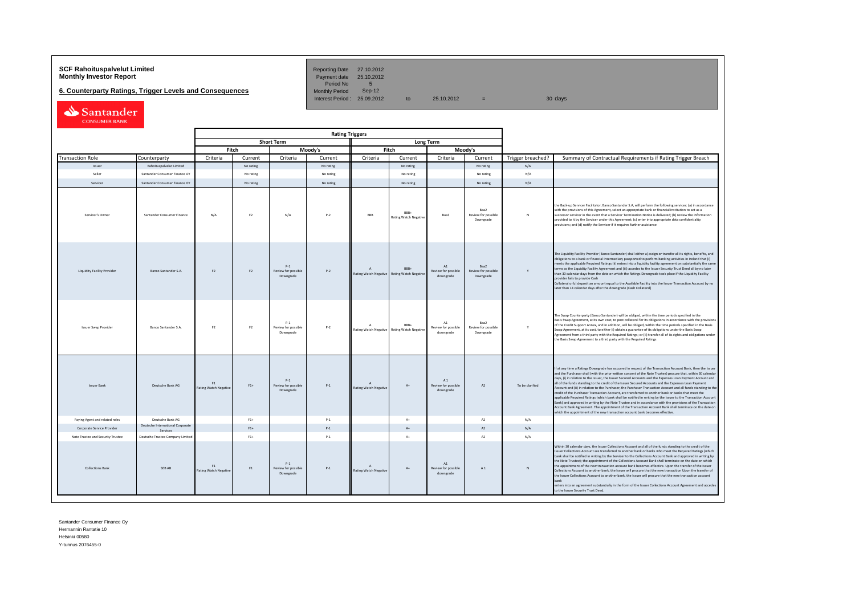# **SCF Rahoituspalvelut Limited Community Community Payment date 27.10.2012<br>
<b>Monthly Investor Report** Payment date 25.10.2012

**6. Counterparty Ratings, Trigger Levels and Consequences** 

Period No 5<br>Monthly Period Sep-12 Interest Period:  $25.09.2012$  to  $25.10.2012$  = 30 days

| Santander            |
|----------------------|
| <b>CONSUMER BANK</b> |

|                                    |                                              | <b>Rating Triggers</b>             |                |                                           |           |                                           |                                                     |                                                    |                                          |                   |                                                                                                                                                                                                                                                                                                                                                                                                                                                                                                                                                                                                                                                                                                                                                                                                                                                                                                                                                                                                                                                                                                      |
|------------------------------------|----------------------------------------------|------------------------------------|----------------|-------------------------------------------|-----------|-------------------------------------------|-----------------------------------------------------|----------------------------------------------------|------------------------------------------|-------------------|------------------------------------------------------------------------------------------------------------------------------------------------------------------------------------------------------------------------------------------------------------------------------------------------------------------------------------------------------------------------------------------------------------------------------------------------------------------------------------------------------------------------------------------------------------------------------------------------------------------------------------------------------------------------------------------------------------------------------------------------------------------------------------------------------------------------------------------------------------------------------------------------------------------------------------------------------------------------------------------------------------------------------------------------------------------------------------------------------|
|                                    |                                              |                                    |                | <b>Short Term</b>                         |           | Long Term                                 |                                                     |                                                    |                                          |                   |                                                                                                                                                                                                                                                                                                                                                                                                                                                                                                                                                                                                                                                                                                                                                                                                                                                                                                                                                                                                                                                                                                      |
|                                    |                                              |                                    | Fitch          |                                           | Moody's   | Fitch<br>Moody's                          |                                                     |                                                    |                                          |                   |                                                                                                                                                                                                                                                                                                                                                                                                                                                                                                                                                                                                                                                                                                                                                                                                                                                                                                                                                                                                                                                                                                      |
| <b>Transaction Role</b>            | Counterparty                                 | Criteria                           | Current        | Criteria                                  | Current   | Criteria                                  | Current                                             | Criteria                                           | Current                                  | Trigger breached? | Summary of Contractual Requirements if Rating Trigger Breach                                                                                                                                                                                                                                                                                                                                                                                                                                                                                                                                                                                                                                                                                                                                                                                                                                                                                                                                                                                                                                         |
| Issuer                             | Rahoituspalvelut Limited                     |                                    | No rating      |                                           | No rating |                                           | No rating                                           |                                                    | No rating                                | N/A               |                                                                                                                                                                                                                                                                                                                                                                                                                                                                                                                                                                                                                                                                                                                                                                                                                                                                                                                                                                                                                                                                                                      |
| Seller                             | Santander Consumer Finance OY                |                                    | No rating      |                                           | No rating |                                           | No rating                                           |                                                    | No rating                                | N/A               |                                                                                                                                                                                                                                                                                                                                                                                                                                                                                                                                                                                                                                                                                                                                                                                                                                                                                                                                                                                                                                                                                                      |
| Servicer                           | Santander Consumer Finance OY                |                                    | No rating      |                                           | No rating |                                           | No rating                                           |                                                    | No rating                                | N/A               |                                                                                                                                                                                                                                                                                                                                                                                                                                                                                                                                                                                                                                                                                                                                                                                                                                                                                                                                                                                                                                                                                                      |
| Servicer's Owner                   | Santander Consumer Finance                   | N/A                                | F <sub>2</sub> | N/A                                       | $P-2$     | <b>BBB</b>                                | BBB+<br><b>Rating Watch Negative</b>                | Baa3                                               | Baa2<br>Review for possible<br>Downgrade | N                 | the Back-up Servicer Facilitator, Banco Santander S.A, will perform the following services: (a) in accordance<br>with the provisions of this Agreement, select an appropriate bank or financial institution to act as a<br>successor servicer in the event that a Servicer Termination Notice is delivered; (b) review the information<br>provided to it by the Servicer under this Agreement; (c) enter into appropriate data confidentiality<br>provisions; and (d) notify the Servicer if it requires further assistance                                                                                                                                                                                                                                                                                                                                                                                                                                                                                                                                                                          |
| <b>Liquidity Facility Provider</b> | Banco Santander S.A.                         | F2                                 | F <sub>2</sub> | $P-1$<br>Review for possible<br>Downgrade | $P-2$     | $\Lambda$<br>Rating Watch Negative        | RRR+<br><b>Rating Watch Negative</b>                | A1<br>Review for possible<br>downgrade             | Baa2<br>Review for possible<br>Downgrade |                   | The Liquidity Facility Provider (Banco Santander) shall either a) assign or transfer all its rights, benefits, and<br>bligations to a bank or financial intermediary passported to perform banking activities in Ireland that (i)<br>neets the applicable Required Ratings (ii) enters into a liquidity facility agreement on substantially the same<br>erms as the Liquidity Facility Agreement and (iii) accedes to the Issuer Security Trust Deed all by no later<br>han 30 calendar days from the date on which the Ratings Downgrade took place if the Liquidity Facility<br>provider fails to provide Cash<br>Collateral or b) deposit an amount equal to the Available Facility into the Issuer Transaction Account by no<br>ater than 14 calendar days after the downgrade (Cash Collateral)                                                                                                                                                                                                                                                                                                 |
| <b>Issuer Swap Provider</b>        | Banco Santander S.A.                         | F <sub>2</sub>                     | F <sub>2</sub> | $P-1$<br>Review for possible<br>Downgrade | $P-2$     | $\Lambda$                                 | RRR+<br>Rating Watch Negative Rating Watch Negative | A1<br>Review for possible<br>downgrade             | Raa2<br>Review for possible<br>Downgrade | Y.                | The Swap Counterparty (Banco Santander) will be obliged, within the time periods specified in the<br>Basis Swap Agreement, at its own cost, to post collateral for its obligations in accordance with the provisions<br>of the Credit Support Annex, and in addition, will be obliged, within the time periods specified in the Basis<br>iwap Agreement, at its cost, to either (i) obtain a guarantee of its obligations under the Basis Swap<br>Agreement from a third party with the Required Ratings; or (ii) transfer all of its rights and obligations under<br>the Basis Swap Agreement to a third party with the Required Ratings                                                                                                                                                                                                                                                                                                                                                                                                                                                            |
| <b>Issuer Bank</b>                 | Deutsche Bank AG                             | F1<br><b>Rating Watch Negative</b> | $F1+$          | $P-1$<br>Review for possible<br>Downgrade | $P-1$     | $\Lambda$<br><b>Rating Watch Negative</b> | $A+$                                                | A <sub>1</sub><br>Review for possible<br>downgrade | A2                                       | To be clarified   | If at any time a Ratings Downgrade has occurred in respect of the Transaction Account Bank, then the Issuer<br>and the Purchaser shall (with the prior written consent of the Note Trustee) procure that, within 30 calendar<br>days, (i) in relation to the Issuer, the Issuer Secured Accounts and the Expenses Loan Payment Account and<br>all of the funds standing to the credit of the Issuer Secured Accounts and the Expenses Loan Payment<br>Account and (ii) in relation to the Purchaser, the Purchaser Transaction Account and all funds standing to the<br>credit of the Purchaser Transaction Account, are transferred to another bank or banks that meet the<br>applicable Required Ratings (which bank shall be notified in writing by the Issuer to the Transaction Account<br>Bank) and approved in writing by the Note Trustee and in accordance with the provisions of the Transaction<br>Account Bank Agreement. The appointment of the Transaction Account Bank shall terminate on the date on<br>which the appointment of the new transaction account bank becomes effective. |
| Paying Agent and related roles     | Deutsche Bank AG                             |                                    | $F1+$          |                                           | $P-1$     |                                           | $\Lambda +$                                         |                                                    | A2                                       | N/A               |                                                                                                                                                                                                                                                                                                                                                                                                                                                                                                                                                                                                                                                                                                                                                                                                                                                                                                                                                                                                                                                                                                      |
| Corporate Service Provider         | Deutsche International Corporate<br>Services |                                    | $F1+$          |                                           | $P-1$     |                                           | $\Lambda$                                           |                                                    | A <sub>2</sub>                           | N/A               |                                                                                                                                                                                                                                                                                                                                                                                                                                                                                                                                                                                                                                                                                                                                                                                                                                                                                                                                                                                                                                                                                                      |
| Note Trustee and Security Trustee  | Deutsche Trustee Company Limited             |                                    | $F1+$          |                                           | $P-1$     |                                           | $A+$                                                |                                                    | A2                                       | N/A               |                                                                                                                                                                                                                                                                                                                                                                                                                                                                                                                                                                                                                                                                                                                                                                                                                                                                                                                                                                                                                                                                                                      |
| <b>Collections Bank</b>            | SEB AB                                       | F1<br><b>Rating Watch Negative</b> | F1             | $P-1$<br>Review for possible<br>Downgrade | $P-1$     | $\Lambda$<br><b>Rating Watch Negative</b> | $A+$                                                | A1<br>Review for possible<br>downgrade             | A1                                       |                   | Vithin 30 calendar days, the Issuer Collections Account and all of the funds standing to the credit of the<br>Issuer Collections Account are transferred to another bank or banks who meet the Required Ratings (which<br>bank shall be notified in writing by the Servicer to the Collections Account Bank and approved in writing by<br>the Note Trustee): the appointment of the Collections Account Bank shall terminate on the date on which<br>the appointment of the new transaction account bank becomes effective. Upon the transfer of the Issuer<br>Collections Account to another bank, the Issuer will procure that the new transaction Upon the transfer of<br>the Issuer Collections Acoount to another bank, the Issuer will procure that the new transaction account<br>enters into an agreement substantially in the form of the Issuer Collections Account Agreement and accedes<br>to the Issuer Security Trust Deed.                                                                                                                                                            |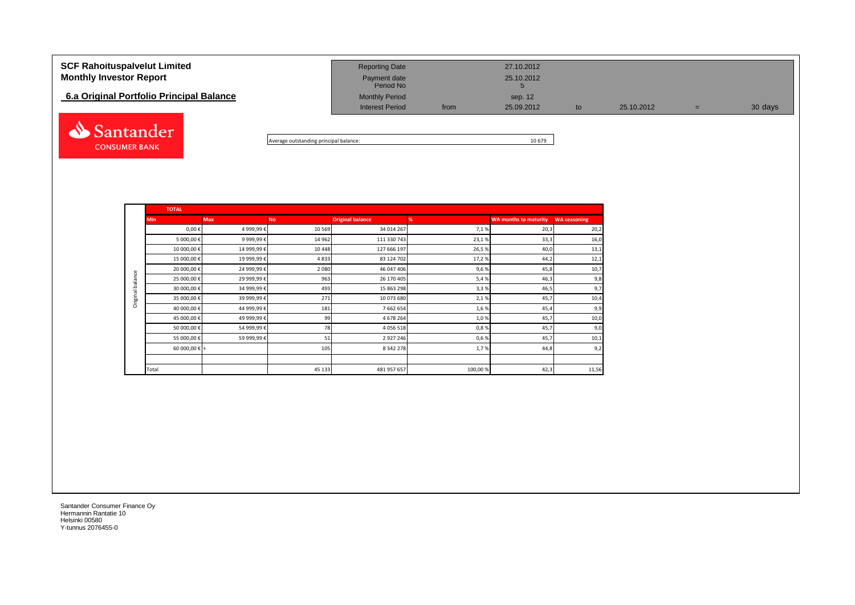| <b>SCF Rahoituspalvelut Limited</b><br><b>Monthly Investor Report</b> | <b>Reporting Date</b><br>Payment date<br>Period No |      | 27.10.2012<br>25.10.2012 |    |            |   |         |
|-----------------------------------------------------------------------|----------------------------------------------------|------|--------------------------|----|------------|---|---------|
| 6.a Original Portfolio Principal Balance                              | <b>Monthly Period</b><br><b>Interest Period</b>    | from | sep. 12<br>25.09.2012    | to | 25.10.2012 | = | 30 days |
| Santander                                                             |                                                    |      |                          |    |            |   |         |

Average outstanding principal balance: 10 679

|                  | <b>TOTAL</b>           |            |           |                         |         |                              |                     |
|------------------|------------------------|------------|-----------|-------------------------|---------|------------------------------|---------------------|
|                  | <b>Min</b>             | <b>Max</b> | <b>No</b> | <b>Original balance</b> | %       | <b>WA months to maturity</b> | <b>WA seasoning</b> |
|                  | $0,00 \in$             | 4 999,99€  | 10 569    | 34 014 267              | 7,1%    | 20,3                         | 20,2                |
|                  | 5 000,00 €             | 9 999,99€  | 14 962    | 111 330 743             | 23,1%   | 33,3                         | 16,0                |
|                  | 10 000,00€             | 14 999,99€ | 10 4 48   | 127 666 197             | 26,5%   | 40,0                         | 13,1                |
|                  | 15 000,00€             | 19 999,99€ | 4833      | 83 124 702              | 17,2%   | 44,2                         | 12,1                |
|                  | 20 000,00 €            | 24 999,99€ | 2 0 8 0   | 46 047 406              | 9,6%    | 45,8                         | 10,7                |
| Original balance | 25 000,00€             | 29 999,99€ | 963       | 26 170 405              | 5,4%    | 46,3                         | 9,8                 |
|                  | 30 000,00 €            | 34 999,99€ | 493       | 15 863 298              | 3,3%    | 46,5                         | 9,7                 |
|                  | 35 000,00 €            | 39 999,99€ | 271       | 10 073 680              | 2,1%    | 45,7                         | 10,4                |
|                  | 40 000,00€             | 44 999,99€ | 181       | 7 662 654               | 1,6%    | 45,4                         | 9,9                 |
|                  | 45 000,00 €            | 49 999,99€ | 99        | 4 678 264               | 1,0%    | 45,7                         | 10,0                |
|                  | 50 000,00 €            | 54 999,99€ | 78        | 4 0 5 6 5 1 8           | 0,8%    | 45,7                         | 9,0                 |
|                  | 55 000,00 €            | 59 999,99€ | 51        | 2927246                 | 0,6%    | 45,7                         | 10,1                |
|                  | 60 000,00 $\epsilon$ + |            | 105       | 8 342 278               | 1,7%    | 44,8                         | 9,2                 |
|                  |                        |            |           |                         |         |                              |                     |
|                  | Total                  |            | 45 133    | 481 957 657             | 100,00% | 42,3                         | 11,56               |

Santander Consumer Finance Oy Hermannin Rantatie 10 Helsinki 00580 Y-tunnus 2076455-0

**CONSUMER BANK**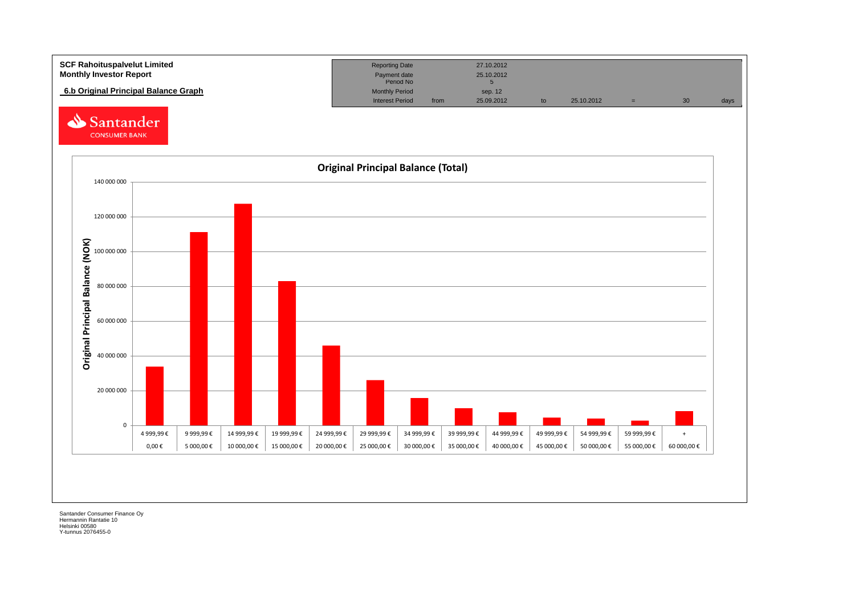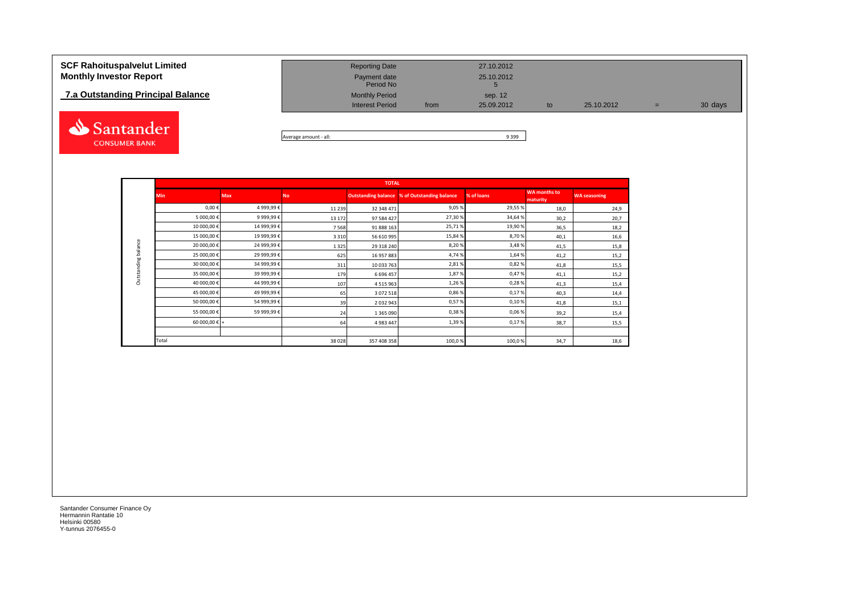# **7.a Outstanding Principal Balance**



| <b>SCF Rahoituspalvelut Limited</b><br><b>Monthly Investor Report</b> | <b>Reporting Date</b><br>Payment date<br>Period No |      | 27.10.2012<br>25.10.2012 |    |            |     |         |
|-----------------------------------------------------------------------|----------------------------------------------------|------|--------------------------|----|------------|-----|---------|
| 7.a Outstanding Principal Balance                                     | <b>Monthly Period</b><br><b>Interest Period</b>    | from | sep. 12<br>25.09.2012    | to | 25.10.2012 | $=$ | 30 days |
|                                                                       |                                                    |      |                          |    |            |     |         |

Average amount - all: 9 399

|                     |                        |            |           | <b>TOTAL</b>  |                                              |            |                                 |                     |
|---------------------|------------------------|------------|-----------|---------------|----------------------------------------------|------------|---------------------------------|---------------------|
|                     | <b>Min</b>             | <b>Max</b> | <b>No</b> |               | Outstanding balance % of Outstanding balance | % of loans | <b>WA months to</b><br>maturity | <b>WA seasoning</b> |
|                     | $0,00 \in$             | 4 999,99€  | 11 2 3 9  | 32 348 471    | 9,05%                                        | 29,55%     | 18,0                            | 24,9                |
|                     | 5 000,00€              | 9 999,99€  | 13 17 2   | 97 584 427    | 27,30 %                                      | 34,64%     | 30,2                            | 20,7                |
|                     | 10 000,00€             | 14 999,99€ | 7568      | 91 888 163    | 25,71%                                       | 19,90%     | 36,5                            | 18,2                |
|                     | 15 000,00€             | 19 999,99€ | 3 3 1 0   | 56 610 995    | 15,84 %                                      | 8,70%      | 40,1                            | 16,6                |
| Outstanding balance | 20 000,00€             | 24 999,99€ | 1325      | 29 318 240    | 8,20%                                        | 3,48%      | 41,5                            | 15,8                |
|                     | 25 000,00€             | 29 999,99€ | 625       | 16 957 883    | 4,74%                                        | 1,64%      | 41,2                            | 15,2                |
|                     | 30 000,00€             | 34 999,99€ | 311       | 10 033 763    | 2,81%                                        | 0,82%      | 41,8                            | 15,5                |
|                     | 35 000,00€             | 39 999,99€ | 179       | 6 6 9 6 4 5 7 | 1,87%                                        | 0,47%      | 41,1                            | 15,2                |
|                     | 40 000,00€             | 44 999,99€ | 107       | 4 5 1 5 9 6 3 | 1,26%                                        | 0,28%      | 41,3                            | 15,4                |
|                     | 45 000,00€             | 49 999,99€ | 65        | 3 0 7 2 5 1 8 | 0,86%                                        | 0,17%      | 40,3                            | 14,4                |
|                     | 50 000,00€             | 54 999,99€ | 39        | 2 0 3 2 9 4 3 | 0,57%                                        | 0,10%      | 41,8                            | 15,1                |
|                     | 55 000,00€             | 59 999,99€ | 24        | 1 365 090     | 0,38%                                        | 0,06%      | 39,2                            | 15,4                |
|                     | 60 000,00 $\epsilon$ + |            | 64        | 4 983 447     | 1,39%                                        | 0,17%      | 38,7                            | 15,5                |
|                     |                        |            |           |               |                                              |            |                                 |                     |
|                     | Total                  |            | 38028     | 357 408 358   | 100,0%                                       | 100,0%     | 34,7                            | 18,6                |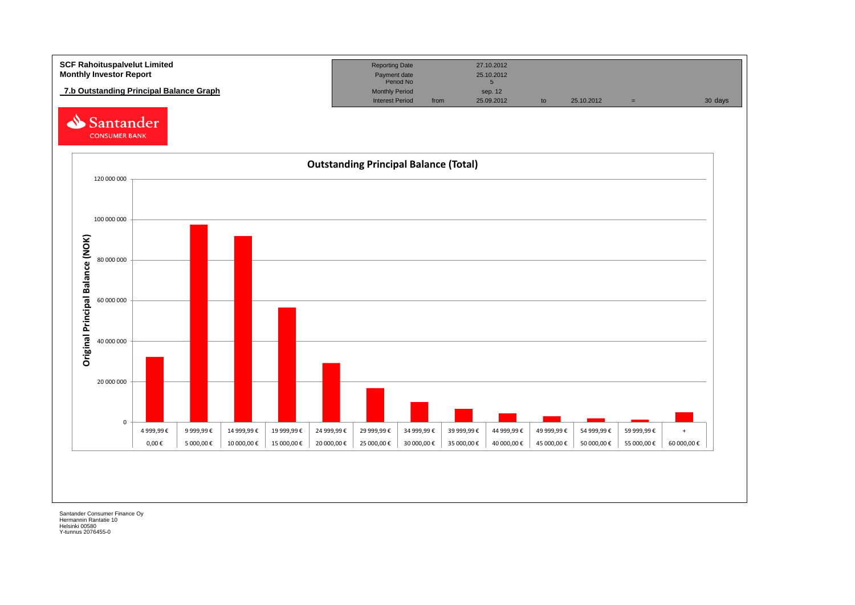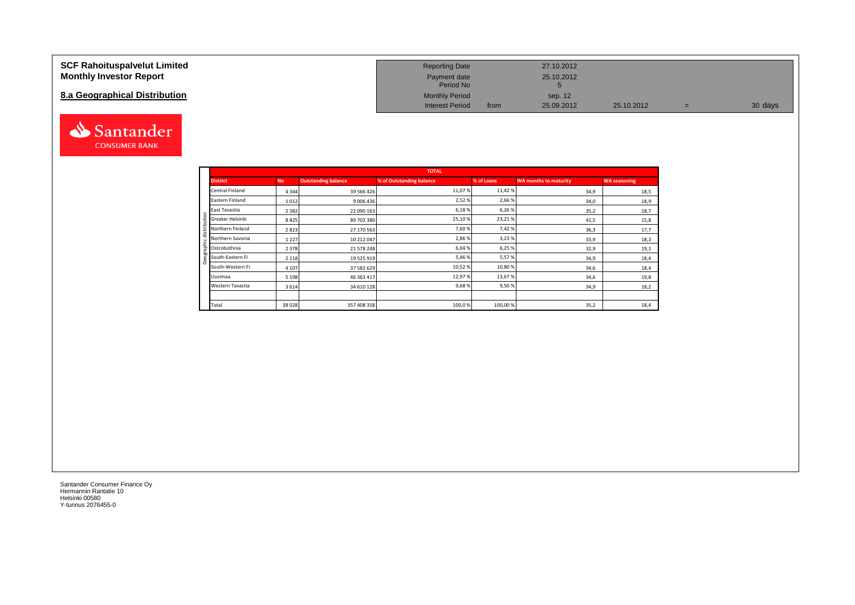### **SCF Rahoituspalvelut Limited Monthly Investor Report**

# **8.a Geographical Distribution**



| <b>Reporting Date</b>     |      | 27.10.2012 |            |   |         |
|---------------------------|------|------------|------------|---|---------|
| Payment date<br>Period No |      | 25.10.2012 |            |   |         |
| <b>Monthly Period</b>     |      | sep. 12    |            |   |         |
| <b>Interest Period</b>    | from | 25.09.2012 | 25.10.2012 | = | 30 days |

|                                                       |           |                            | <b>TOTAL</b>             |            |                       |                     |
|-------------------------------------------------------|-----------|----------------------------|--------------------------|------------|-----------------------|---------------------|
| <b>District</b>                                       | <b>No</b> | <b>Outstanding balance</b> | % of Outstanding balance | % of Loans | WA months to maturity | <b>WA seasoning</b> |
| Central Finland                                       | 4 3 4 4   | 39 566 426                 | 11,07%                   | 11,42 %    | 34,9                  | 18,5                |
| Eastern Finland                                       | 1012      | 9 006 436                  | 2,52%                    | 2,66 %     | 34,0                  | 18,9                |
| East Tavastia                                         | 2 3 8 2   | 22 090 163                 | 6,18%                    | 6,26 %     | 35,2                  | 18,7                |
| Greater Helsinki<br>Ë                                 | 8825      | 89 702 380                 | 25,10%                   | 23,21%     | 41,5                  | 15,8                |
| Northern Finland                                      | 2823      | 27 170 563                 | 7,60 %                   | 7,42%      | 36,3                  | 17,7                |
| ₩<br>Northern Savonia                                 | 1 2 2 7   | 10 212 047                 | 2,86%                    | 3,23%      | 33,9                  | 18,3                |
| 흍<br>Ostrobothnia                                     | 2 3 7 8   | 21 578 248                 | 6,04 %                   | 6,25%      | 32,9                  | 19,1                |
| $\overline{50}$<br>South-Eastern Fi<br>$\overline{ }$ | 2 1 1 8   | 19 525 919                 | 5,46 %                   | 5,57%      | 34,9                  | 18,4                |
| South-Western Fi                                      | 4 1 0 7   | 37 582 629                 | 10,52%                   | 10,80%     | 34,6                  | 18,4                |
| Uusimaa                                               | 5 1 9 8   | 46 363 417                 | 12,97%                   | 13,67%     | 34,6                  | 19,8                |
| Western Tavastia                                      | 3614      | 34 610 128                 | 9,68%                    | 9,50%      | 34,9                  | 18,2                |
|                                                       |           |                            |                          |            |                       |                     |
| Total                                                 | 38 0 28   | 357 408 358                | 100,0%                   | 100,00%    | 35,2                  | 18,4                |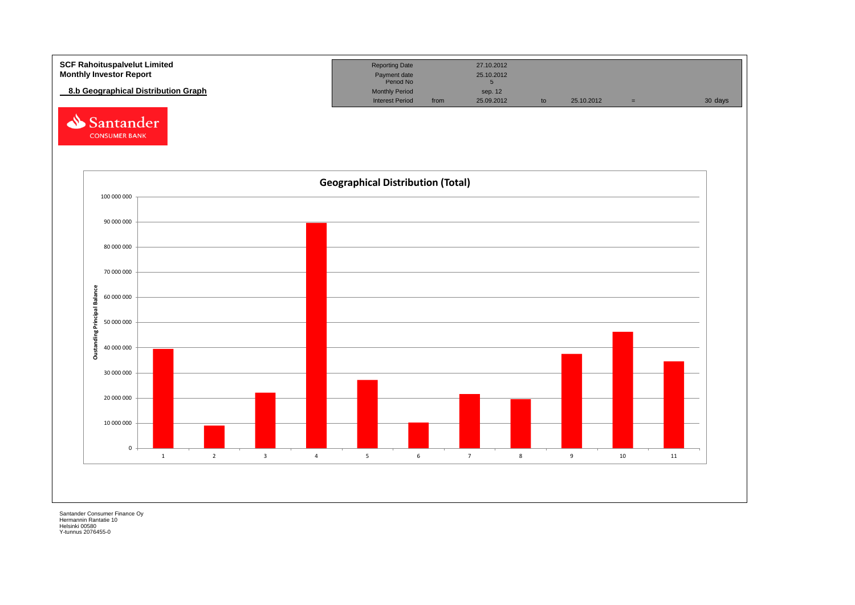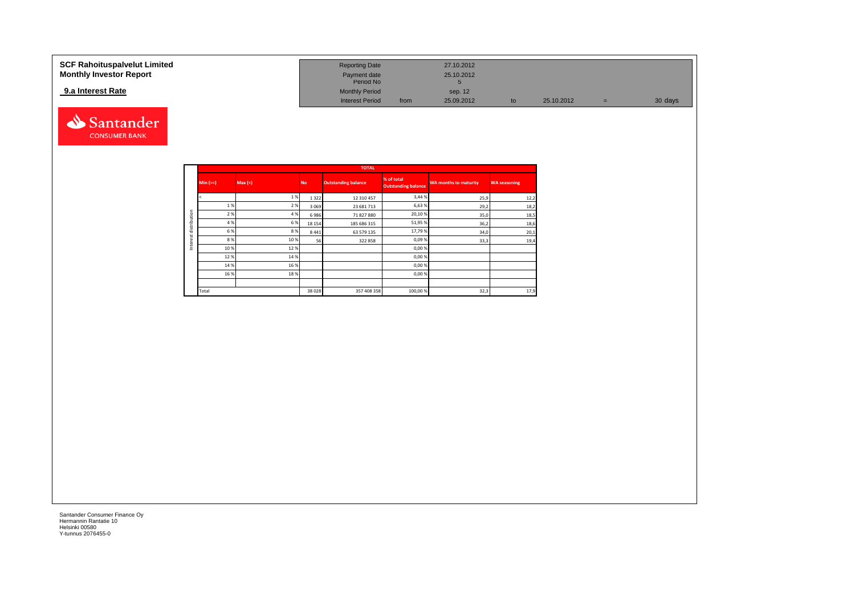### **9.a Interest Rate**



| SCF Rahoituspalvelut Limited   | <b>Reporting Date</b>     |      | 27.10.2012 |    |            |     |         |
|--------------------------------|---------------------------|------|------------|----|------------|-----|---------|
| <b>Monthly Investor Report</b> | Payment date<br>Period No |      | 25.10.2012 |    |            |     |         |
| 9.a Interest Rate              | <b>Monthly Period</b>     |      | sep. 12    |    |            |     |         |
|                                | <b>Interest Period</b>    | from | 25.09.2012 | to | 25.10.2012 | $=$ | 30 days |

|              |            |        |           | <b>TOTAL</b>               |                                          |                              |                     |
|--------------|------------|--------|-----------|----------------------------|------------------------------------------|------------------------------|---------------------|
|              | $Min (>=)$ | Max(<) | <b>No</b> | <b>Outstanding balance</b> | % of total<br><b>Outstanding balance</b> | <b>WA months to maturity</b> | <b>WA seasoning</b> |
|              |            | 1%     | 1322      | 12 310 457                 | 3,44 %                                   | 25,9                         | 12,2                |
|              | 1%         | 2%     | 3 0 6 9   | 23 681 713                 | 6,63%                                    | 29,2                         | 18,2                |
|              | 2%         | 4 %    | 6986      | 71 827 880                 | 20,10%                                   | 35,0                         | 18,5                |
| distribution | 4 %        | 6%     | 18 15 4   | 185 686 315                | 51,95 %                                  | 36,2                         | 18,6                |
|              | 6 %        | 8%     | 8 4 4 1   | 63 579 135                 | 17,79%                                   | 34,0                         | 20,1                |
|              | 8%         | 10 %   | 56        | 322858                     | 0,09%                                    | 33,3                         | 19,4                |
|              | 10%        | 12%    |           |                            | 0,00%                                    |                              |                     |
|              | 12%        | 14 %   |           |                            | 0,00%                                    |                              |                     |
|              | 14 %       | 16 %   |           |                            | 0,00%                                    |                              |                     |
|              | 16 %       | 18%    |           |                            | 0,00%                                    |                              |                     |
|              |            |        |           |                            |                                          |                              |                     |
|              | Total      |        | 38 0 28   | 357 408 358                | 100,00 %                                 | 32,3                         | 17,9                |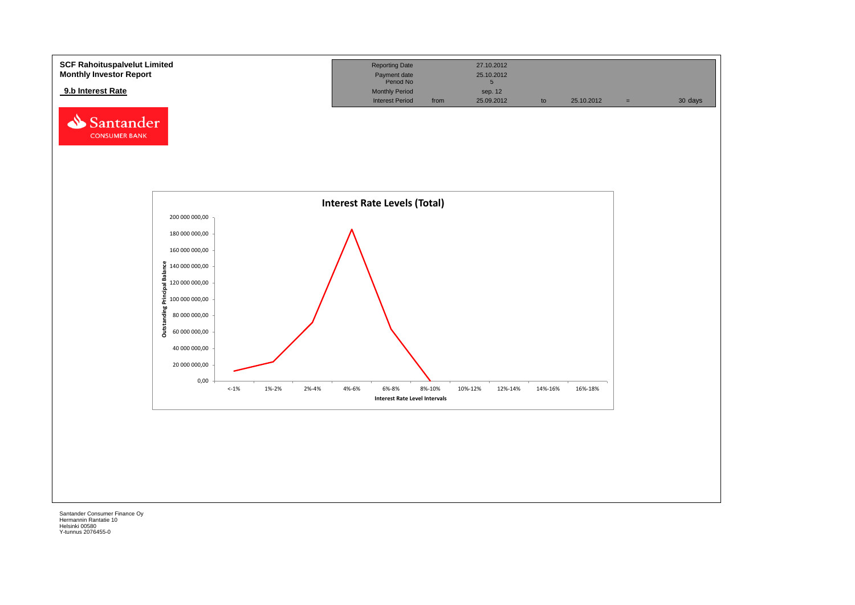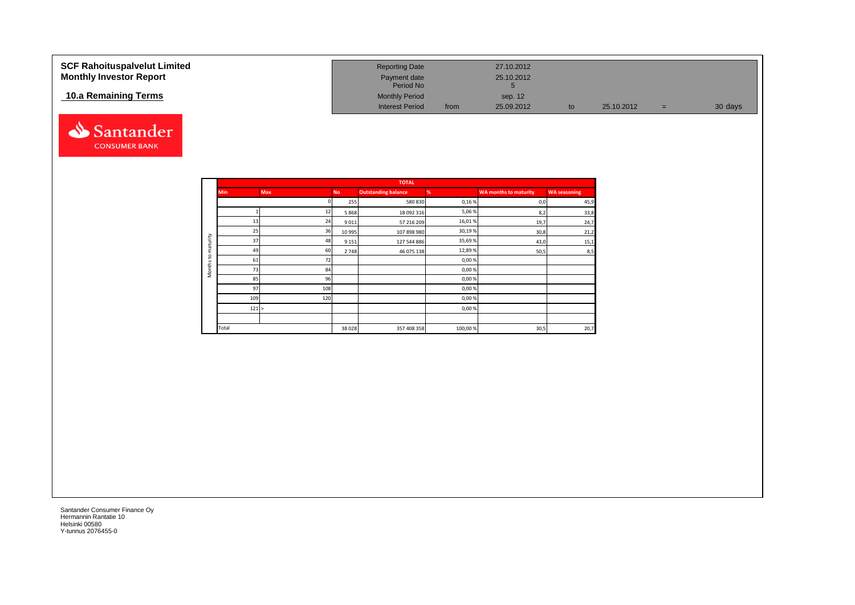| <b>SCF Rahoituspalvelut Limited</b><br><b>Monthly Investor Report</b> | <b>Reporting Date</b><br>Payment date<br>Period No |      | 27.10.2012<br>25.10.2012 |    |            |     |         |
|-----------------------------------------------------------------------|----------------------------------------------------|------|--------------------------|----|------------|-----|---------|
| 10.a Remaining Terms                                                  | <b>Monthly Period</b><br><b>Interest Period</b>    | from | sep. 12<br>25.09.2012    | to | 25.10.2012 | $=$ | 30 days |



|          |            |            |           | <b>TOTAL</b>               |         |                              |                     |
|----------|------------|------------|-----------|----------------------------|---------|------------------------------|---------------------|
|          | <b>Min</b> | <b>Max</b> | <b>No</b> | <b>Outstanding balance</b> | %       | <b>WA months to maturity</b> | <b>WA seasoning</b> |
|          |            |            | 255       | 580 830                    | 0,16%   | 0,0                          | 45,9                |
|          |            | 12         | 5868      | 18 092 316                 | 5,06%   | 8,2                          | 33,8                |
|          | 13         | 24         | 9011      | 57 216 209                 | 16,01%  | 19,7                         | 24,7                |
|          | 25         | 36         | 10 995    | 107 898 980                | 30,19%  | 30,8                         | 21,2                |
| maturity | 37         | 48         | 9 1 5 1   | 127 544 886                | 35,69%  | 43,0                         | 15,1                |
|          | 49         | 60         | 2748      | 46 075 138                 | 12,89%  | 50,5                         | 8,5                 |
| 5        | 61         | 72         |           |                            | 0,00%   |                              |                     |
| Months   | 73         | 84         |           |                            | 0,00%   |                              |                     |
|          | 85         | 96         |           |                            | 0,00%   |                              |                     |
|          | 97         | 108        |           |                            | 0,00%   |                              |                     |
|          | 109        | 120        |           |                            | 0,00%   |                              |                     |
|          | 121 >      |            |           |                            | 0,00%   |                              |                     |
|          |            |            |           |                            |         |                              |                     |
|          | Total      |            | 38 0 28   | 357 408 358                | 100,00% | 30,5                         | 20,7                |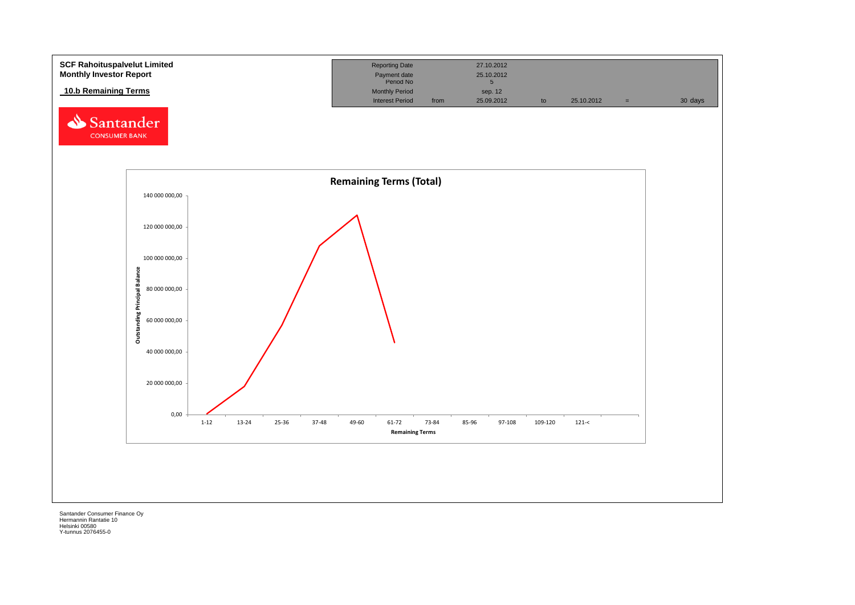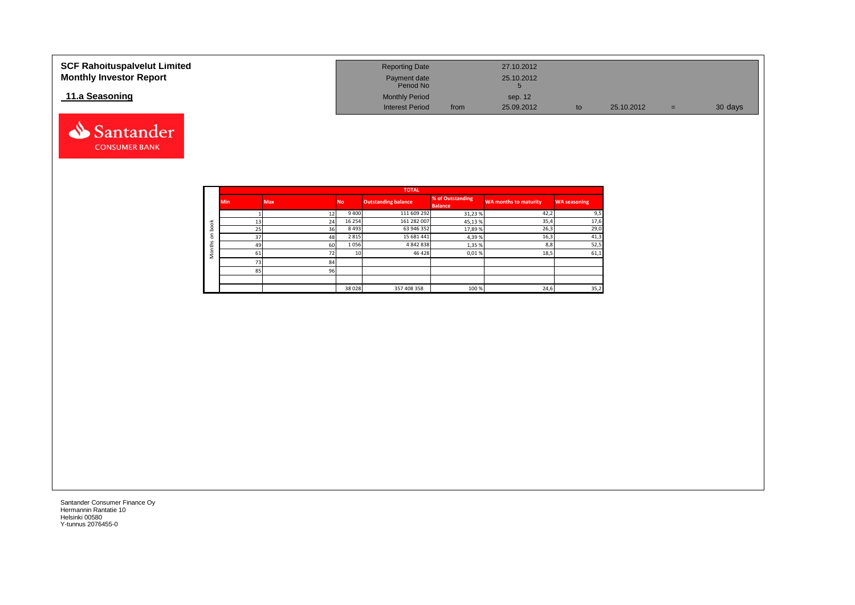| <b>SCF Rahoituspalvelut Limited</b><br><b>Monthly Investor Report</b> | <b>Reporting Date</b><br>Payment date<br>Period No |      | 27.10.2012<br>25.10.2012 |    |            |     |         |
|-----------------------------------------------------------------------|----------------------------------------------------|------|--------------------------|----|------------|-----|---------|
| 11.a Seasoning                                                        | <b>Monthly Period</b><br><b>Interest Period</b>    | from | sep. 12<br>25.09.2012    | to | 25.10.2012 | $=$ | 30 days |

|              |            |            |                 | <b>TOTAL</b>               |                                    |                       |                     |
|--------------|------------|------------|-----------------|----------------------------|------------------------------------|-----------------------|---------------------|
|              | <b>Min</b> | <b>Max</b> | <b>No</b>       | <b>Outstanding balance</b> | % of Outstanding<br><b>Balance</b> | WA months to maturity | <b>WA seasoning</b> |
|              |            |            | 9400            | 111 609 292                | 31,23%                             | 42,7                  | 9,5                 |
| 老            | 13         | 24         | 16 254          | 161 282 007                | 45,13%                             | 35,4                  | 17,6                |
| C<br>-O      | 25         | 36         | 8493            | 63 946 352                 | 17,89%                             | 26,3                  | 29,0                |
| $\mathbf{u}$ | 37         | 48         | 2815            | 15 681 441                 | 4,39%                              | 16,3                  | 41,3                |
|              | 49         | 60         | 1056            | 4 842 838                  | 1,35 %                             | 8,8                   | 52,5                |
| c<br>Σ       | 61         |            | 10 <sup>1</sup> | 46 428                     | 0,01%                              | 18,5                  | 61,1                |
|              | 731        | 84         |                 |                            |                                    |                       |                     |
|              | 85         | 96         |                 |                            |                                    |                       |                     |
|              |            |            |                 |                            |                                    |                       |                     |
|              |            |            | 38 0 28         | 357 408 358                | 100 %                              | 24,6                  | 35,2                |

Santander **CONSUMER BANK**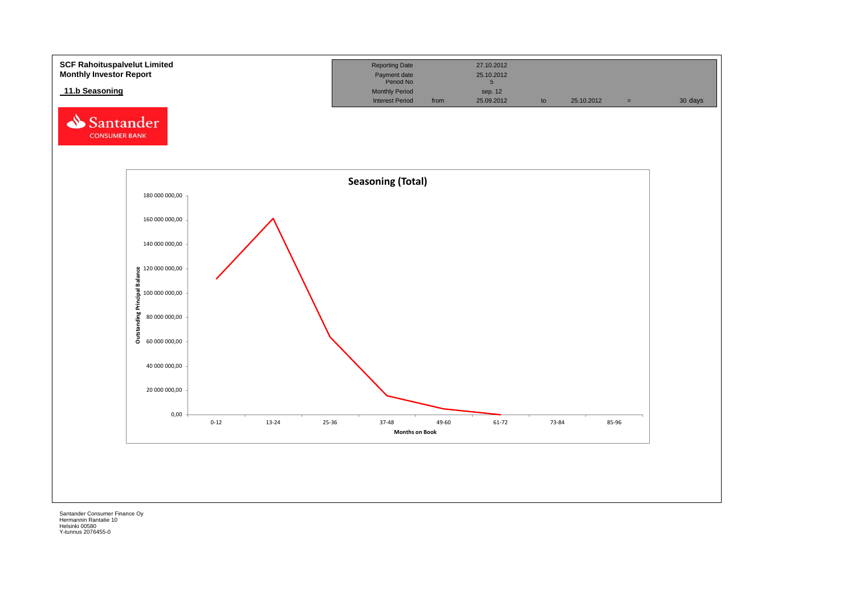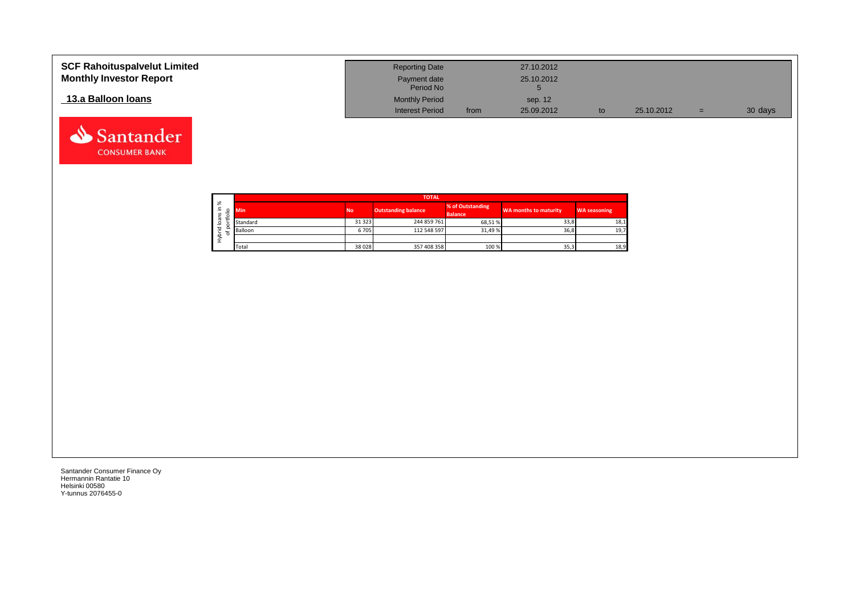| <b>SCF Rahoituspalvelut Limited</b><br><b>Monthly Investor Report</b> | <b>Reporting Date</b><br>Payment date<br>Period No |      | 27.10.2012<br>25.10.2012 |            |     |         |
|-----------------------------------------------------------------------|----------------------------------------------------|------|--------------------------|------------|-----|---------|
| 13.a Balloon Ioans                                                    | <b>Monthly Period</b><br><b>Interest Period</b>    | from | sep. 12<br>25.09.2012    | 25.10.2012 | $=$ | 30 days |



Santander **CONSUMER BANK**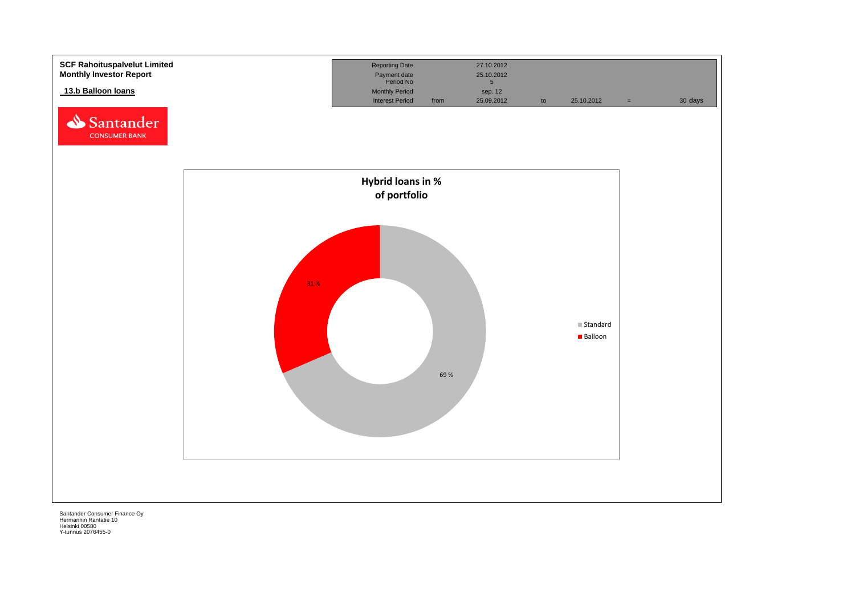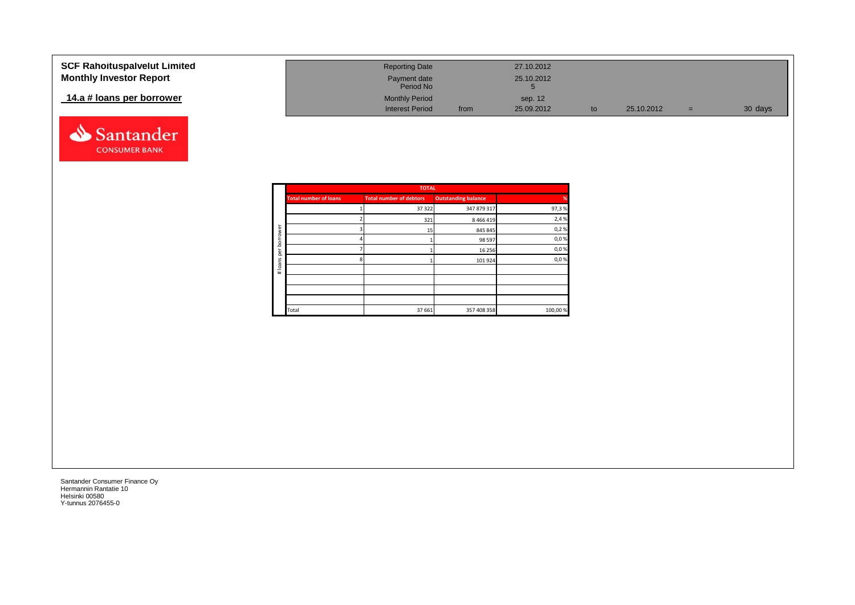| <b>SCF Rahoituspalvelut Limited</b> | <b>Reporting Date</b>  |      | 27.10.2012 |            |     |         |
|-------------------------------------|------------------------|------|------------|------------|-----|---------|
| <b>Monthly Investor Report</b>      | Payment date           |      | 25.10.2012 |            |     |         |
|                                     | Period No              |      |            |            |     |         |
| 14.a # loans per borrower           | <b>Monthly Period</b>  |      | sep. 12    |            |     |         |
|                                     | <b>Interest Period</b> | from | 25.09.2012 | 25.10.2012 | $=$ | 30 days |



|            |                              | <b>TOTAL</b>                   |                            |         |
|------------|------------------------------|--------------------------------|----------------------------|---------|
|            | <b>Total number of loans</b> | <b>Total number of debtors</b> | <b>Outstanding balance</b> | %       |
|            |                              | 37 322                         | 347 879 317                | 97,3%   |
|            |                              | 321                            | 8 4 6 6 4 1 9              | 2,4%    |
| ā          |                              | 15                             | 845 845                    | 0,2%    |
| row<br>bor |                              |                                | 98 597                     | 0,0%    |
| per        |                              |                                | 16 25 6                    | 0,0%    |
| loans      | 8                            |                                | 101 924                    | 0,0%    |
| $\#$       |                              |                                |                            |         |
|            |                              |                                |                            |         |
|            |                              |                                |                            |         |
|            |                              |                                |                            |         |
|            | Total                        | 37 661                         | 357 408 358                | 100,00% |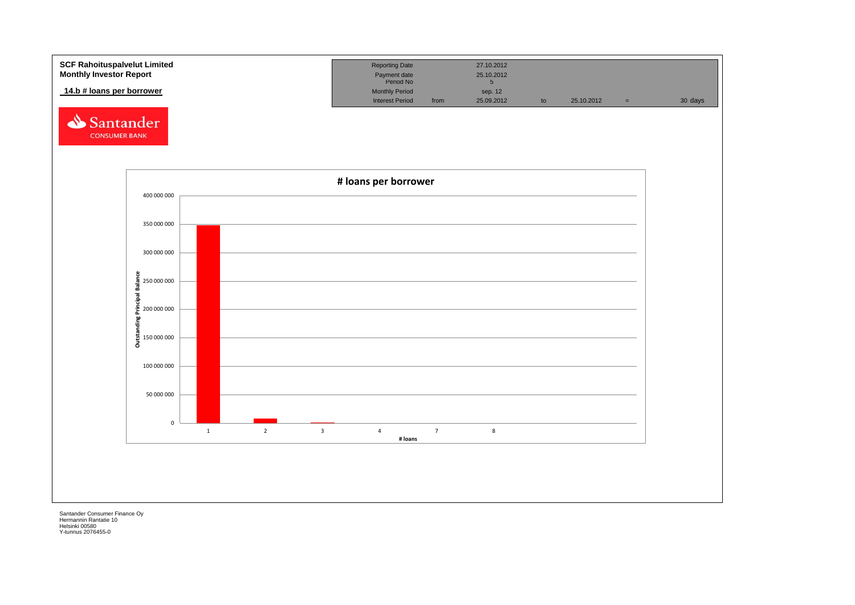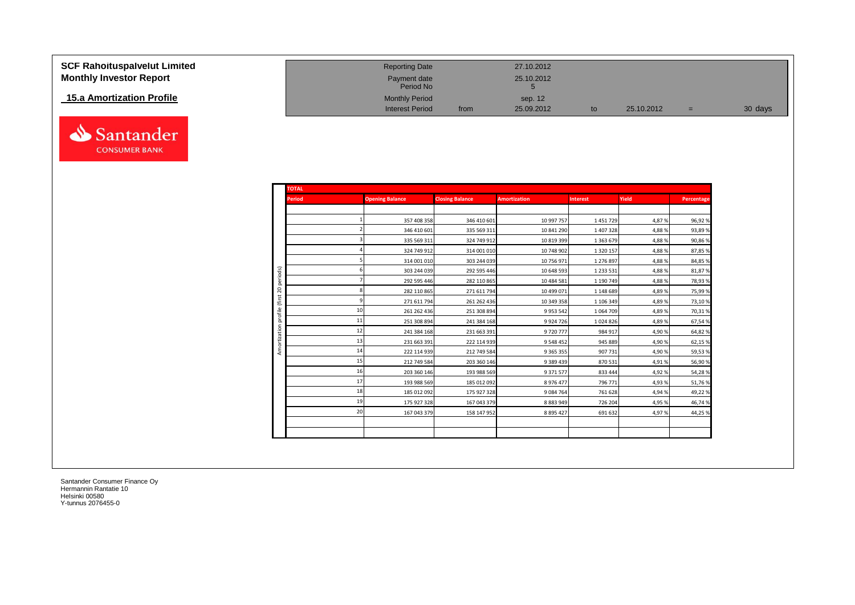| SCF Rahoituspalvelut Limited     | <b>Reporting Date</b>     |      | 27.10.2012 |            |     |         |
|----------------------------------|---------------------------|------|------------|------------|-----|---------|
| <b>Monthly Investor Report</b>   | Payment date<br>Period No |      | 25.10.2012 |            |     |         |
| <b>15.a Amortization Profile</b> | <b>Monthly Period</b>     |      | sep. 12    |            |     |         |
|                                  | <b>Interest Period</b>    | from | 25.09.2012 | 25.10.2012 | $=$ | 30 days |

| <b>TOTAL</b>  |    |                        |                        |                     |                 |        |            |
|---------------|----|------------------------|------------------------|---------------------|-----------------|--------|------------|
| <b>Period</b> |    | <b>Opening Balance</b> | <b>Closing Balance</b> | <b>Amortization</b> | <b>Interest</b> | Yield  | Percentage |
|               |    |                        |                        |                     |                 |        |            |
|               |    | 357 408 358            | 346 410 601            | 10 997 757          | 1451729         | 4,87%  | 96,92%     |
|               |    | 346 410 601            | 335 569 311            | 10 841 290          | 1 407 328       | 4,88%  | 93,89 %    |
|               |    | 335 569 311            | 324 749 912            | 10 819 399          | 1 3 6 3 6 7 9   | 4,88%  | 90,86%     |
|               |    | 324 749 912            | 314 001 010            | 10 748 902          | 1 3 2 0 1 5 7   | 4,88%  | 87,85%     |
|               |    | 314 001 010            | 303 244 039            | 10 756 971          | 1 276 897       | 4,88%  | 84,85%     |
|               |    | 303 244 039            | 292 595 446            | 10 648 593          | 1 2 3 5 5 3 1   | 4,88%  | 81,87%     |
| periods)      |    | 292 595 446            | 282 110 865            | 10 484 581          | 1 190 749       | 4,88%  | 78,93 %    |
|               |    | 282 110 865            | 271 611 794            | 10 499 071          | 1 148 689       | 4,89%  | 75,99%     |
|               |    | 271 611 794            | 261 262 436            | 10 349 358          | 1 106 349       | 4,89%  | 73,10%     |
|               | 10 | 261 262 436            | 251 308 894            | 9953542             | 1 0 64 7 09     | 4,89%  | 70,31%     |
|               | 11 | 251 308 894            | 241 384 168            | 9924726             | 1024826         | 4,89%  | 67,54 %    |
|               | 12 | 241 384 168            | 231 663 391            | 9720777             | 984 917         | 4,90 % | 64,82%     |
|               | 13 | 231 663 391            | 222 114 939            | 9 5 4 8 4 5 2       | 945 889         | 4,90 % | 62,15%     |
| Amortization  | 14 | 222 114 939            | 212 749 584            | 9 3 6 5 3 5 5       | 907 731         | 4,90 % | 59,53%     |
|               | 15 | 212 749 584            | 203 360 146            | 9 389 439           | 870 531         | 4,91%  | 56,90%     |
|               | 16 | 203 360 146            | 193 988 569            | 9 371 577           | 833 444         | 4,92%  | 54,28%     |
|               | 17 | 193 988 569            | 185 012 092            | 8976477             | 796 771         | 4,93%  | 51,76%     |
|               | 18 | 185 012 092            | 175 927 328            | 9084764             | 761 628         | 4.94%  | 49,22%     |
|               | 19 | 175 927 328            | 167 043 379            | 8883949             | 726 204         | 4,95 % | 46,74 %    |
|               | 20 | 167 043 379            | 158 147 952            | 8 8 9 5 4 2 7       | 691 632         | 4,97%  | 44,25%     |
|               |    |                        |                        |                     |                 |        |            |
|               |    |                        |                        |                     |                 |        |            |

Santander **CONSUMER BANK**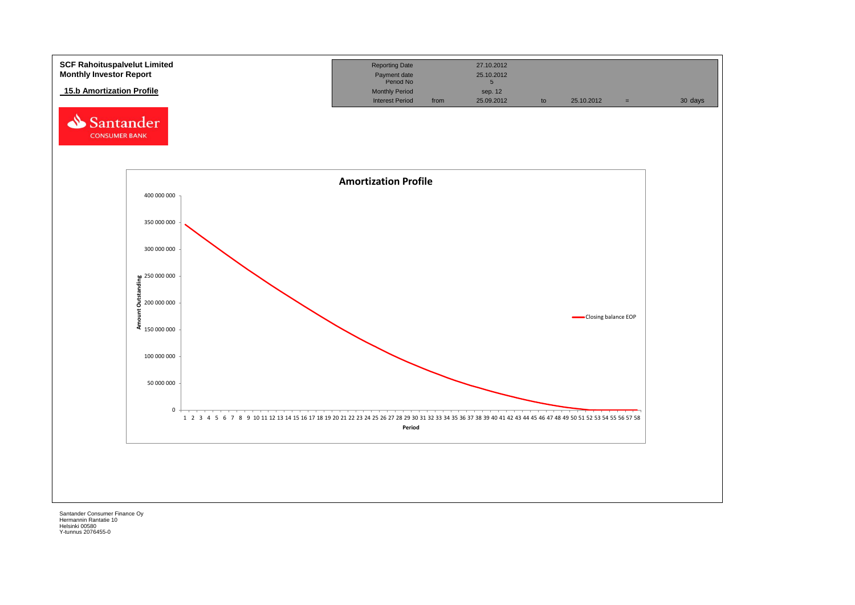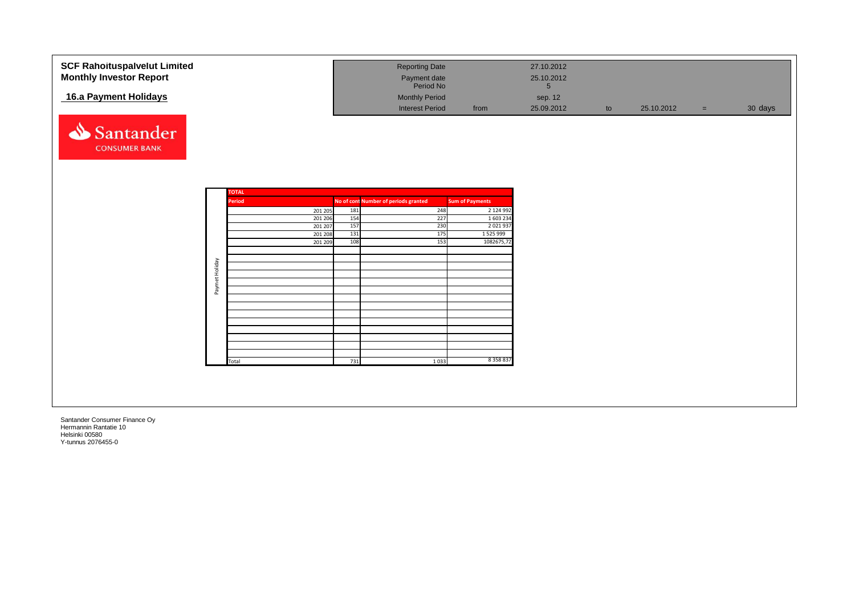| <b>SCF Rahoituspalvelut Limited</b><br><b>Monthly Investor Report</b> |                |               |            | <b>Reporting Date</b><br>Payment date<br>Period No |                               | 27.10.2012<br>25.10.2012<br>$5\overline{)}$ |    |            |     |         |
|-----------------------------------------------------------------------|----------------|---------------|------------|----------------------------------------------------|-------------------------------|---------------------------------------------|----|------------|-----|---------|
| 16.a Payment Holidays                                                 |                |               |            | <b>Monthly Period</b><br><b>Interest Period</b>    | from                          | sep. 12<br>25.09.2012                       | to | 25.10.2012 | $=$ | 30 days |
| Santander                                                             |                |               |            |                                                    |                               |                                             |    |            |     |         |
| <b>CONSUMER BANK</b>                                                  |                |               |            |                                                    |                               |                                             |    |            |     |         |
|                                                                       |                | <b>TOTAL</b>  |            |                                                    |                               |                                             |    |            |     |         |
|                                                                       |                | <b>Period</b> |            | No of cont Number of periods granted               | <b>Sum of Payments</b>        |                                             |    |            |     |         |
|                                                                       |                | 201 205       | 181        | 248                                                | 2 124 992                     |                                             |    |            |     |         |
|                                                                       |                | 201 206       | 154        | 227                                                | 1 603 234                     |                                             |    |            |     |         |
|                                                                       |                | 201 207       | 157        | 230                                                | 2 0 2 1 9 3 7                 |                                             |    |            |     |         |
|                                                                       |                | 201 208       | 131<br>108 | 175<br>153                                         | 1 5 2 5 9 9 9 9<br>1082675,72 |                                             |    |            |     |         |
|                                                                       |                | 201 209       |            |                                                    |                               |                                             |    |            |     |         |
|                                                                       |                |               |            |                                                    |                               |                                             |    |            |     |         |
|                                                                       | Paymet Holiday |               |            |                                                    |                               |                                             |    |            |     |         |
|                                                                       |                |               |            |                                                    |                               |                                             |    |            |     |         |
|                                                                       |                |               |            |                                                    |                               |                                             |    |            |     |         |
|                                                                       |                |               |            |                                                    |                               |                                             |    |            |     |         |
|                                                                       |                |               |            |                                                    |                               |                                             |    |            |     |         |
|                                                                       |                |               |            |                                                    |                               |                                             |    |            |     |         |
|                                                                       |                |               |            |                                                    |                               |                                             |    |            |     |         |
|                                                                       |                |               |            |                                                    |                               |                                             |    |            |     |         |
|                                                                       |                |               |            |                                                    |                               |                                             |    |            |     |         |
|                                                                       |                |               |            |                                                    |                               |                                             |    |            |     |         |
|                                                                       |                | Total         | 731        | 1 0 3 3                                            | 8 3 5 8 8 3 7                 |                                             |    |            |     |         |
|                                                                       |                |               |            |                                                    |                               |                                             |    |            |     |         |
|                                                                       |                |               |            |                                                    |                               |                                             |    |            |     |         |
|                                                                       |                |               |            |                                                    |                               |                                             |    |            |     |         |
|                                                                       |                |               |            |                                                    |                               |                                             |    |            |     |         |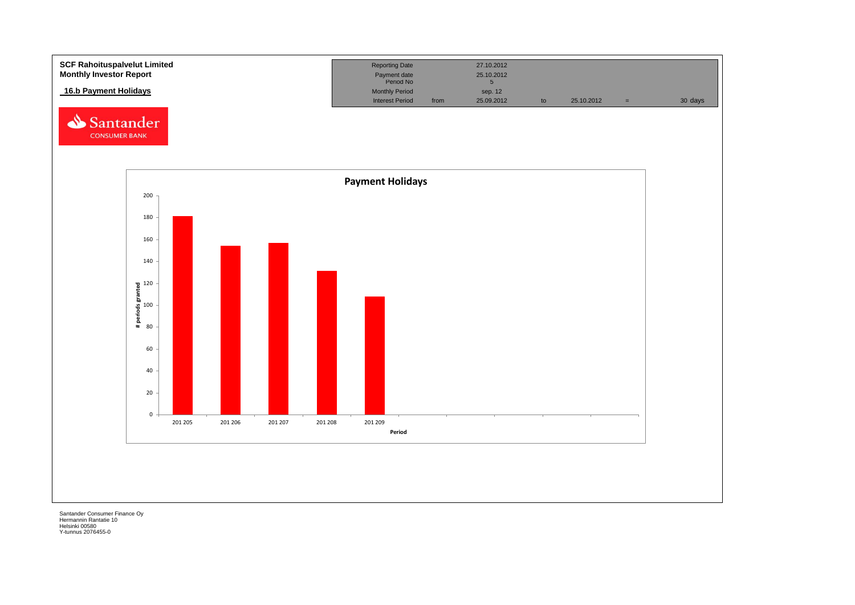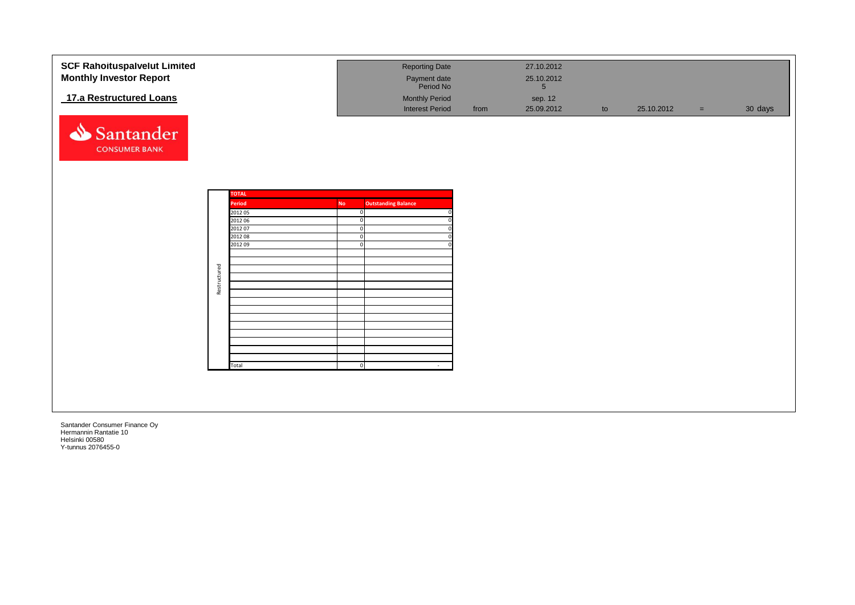| <b>SCF Rahoituspalvelut Limited</b><br><b>Monthly Investor Report</b><br>17.a Restructured Loans |              |                   |                          | <b>Reporting Date</b><br>Payment date<br>Period No<br><b>Monthly Period</b><br><b>Interest Period</b> | from | 27.10.2012<br>25.10.2012<br>$5\overline{)}$<br>sep. 12<br>25.09.2012 | to | 25.10.2012 | $\equiv$ | 30 days |
|--------------------------------------------------------------------------------------------------|--------------|-------------------|--------------------------|-------------------------------------------------------------------------------------------------------|------|----------------------------------------------------------------------|----|------------|----------|---------|
| Santander<br><b>CONSUMER BANK</b>                                                                |              |                   |                          |                                                                                                       |      |                                                                      |    |            |          |         |
|                                                                                                  |              | <b>TOTAL</b>      |                          |                                                                                                       |      |                                                                      |    |            |          |         |
|                                                                                                  |              | Period<br>2012 05 | <b>No</b><br>$\mathbf 0$ | <b>Outstanding Balance</b>                                                                            |      |                                                                      |    |            |          |         |
|                                                                                                  |              | 2012 06           | $\Omega$                 |                                                                                                       |      |                                                                      |    |            |          |         |
|                                                                                                  |              | 2012 07           | $\Omega$                 |                                                                                                       |      |                                                                      |    |            |          |         |
|                                                                                                  |              | 2012 08           | $\Omega$                 |                                                                                                       |      |                                                                      |    |            |          |         |
|                                                                                                  |              | 2012 09           | $\Omega$                 |                                                                                                       |      |                                                                      |    |            |          |         |
|                                                                                                  |              |                   |                          |                                                                                                       |      |                                                                      |    |            |          |         |
|                                                                                                  |              |                   |                          |                                                                                                       |      |                                                                      |    |            |          |         |
|                                                                                                  |              |                   |                          |                                                                                                       |      |                                                                      |    |            |          |         |
|                                                                                                  | Restructured |                   |                          |                                                                                                       |      |                                                                      |    |            |          |         |
|                                                                                                  |              |                   |                          |                                                                                                       |      |                                                                      |    |            |          |         |
|                                                                                                  |              |                   |                          |                                                                                                       |      |                                                                      |    |            |          |         |
|                                                                                                  |              |                   |                          |                                                                                                       |      |                                                                      |    |            |          |         |
|                                                                                                  |              |                   |                          |                                                                                                       |      |                                                                      |    |            |          |         |
|                                                                                                  |              |                   |                          |                                                                                                       |      |                                                                      |    |            |          |         |
|                                                                                                  |              |                   |                          |                                                                                                       |      |                                                                      |    |            |          |         |
|                                                                                                  |              |                   |                          |                                                                                                       |      |                                                                      |    |            |          |         |
|                                                                                                  |              |                   |                          |                                                                                                       |      |                                                                      |    |            |          |         |
|                                                                                                  |              | Total             | $\mathbf{0}$             | $\sim$                                                                                                |      |                                                                      |    |            |          |         |
|                                                                                                  |              |                   |                          |                                                                                                       |      |                                                                      |    |            |          |         |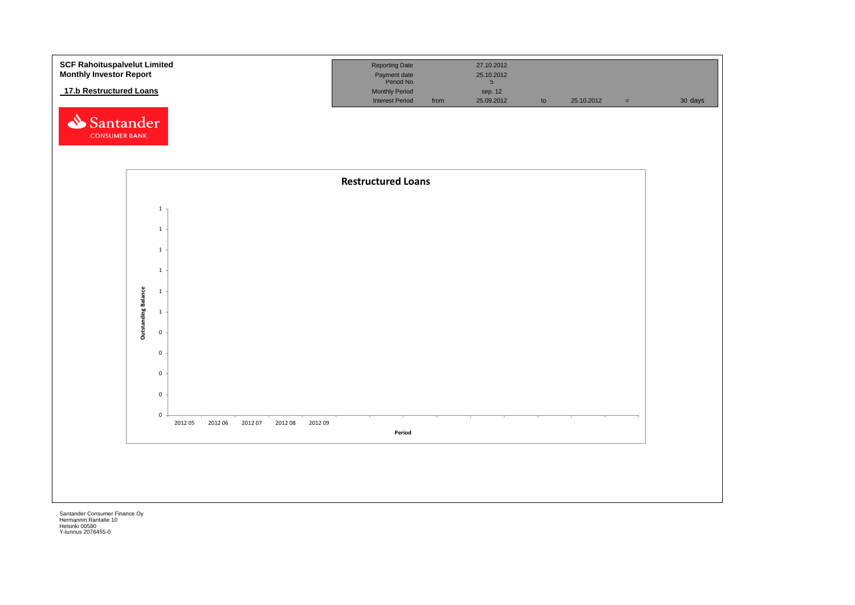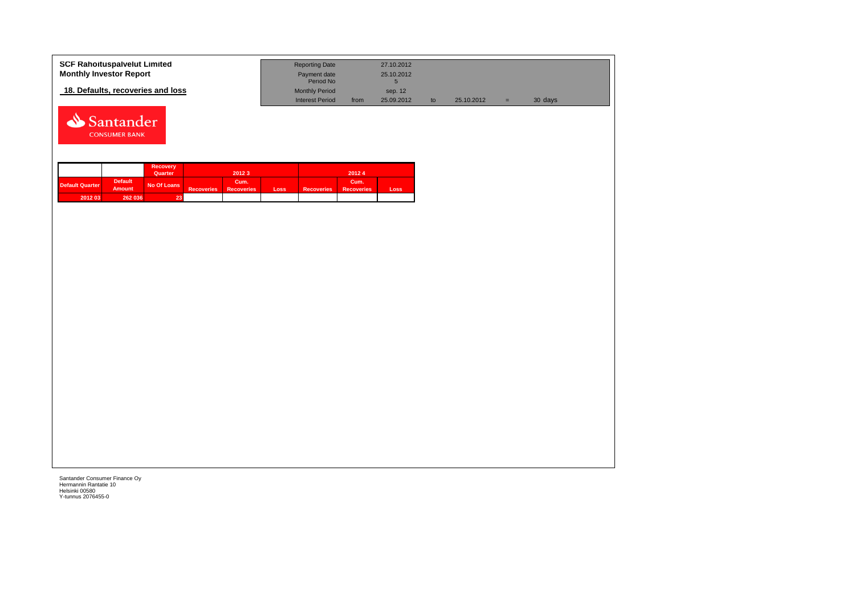| <b>SCF Rahoituspalvelut Limited</b> | <b>Reporting Date</b>     |      | 27.10.2012 |            |   |         |
|-------------------------------------|---------------------------|------|------------|------------|---|---------|
| <b>Monthly Investor Report</b>      | Payment date<br>Period No |      | 25.10.2012 |            |   |         |
| 18. Defaults, recoveries and loss   | <b>Monthly Period</b>     |      | sep. 12    |            |   |         |
|                                     | Interest Period           | from | 25.09.2012 | 25.10.2012 | = | 30 days |



|                 |                                 | <b>Recovery</b> |                   |                           |      |                   |                           |       |  |
|-----------------|---------------------------------|-----------------|-------------------|---------------------------|------|-------------------|---------------------------|-------|--|
|                 |                                 | Quarter         |                   | 2012 3                    |      | 20124             |                           |       |  |
| Default Quarter | <b>Default</b><br><b>Amount</b> | No Of Loans     | <b>Recoveries</b> | Cum.<br><b>Recoveries</b> | Loss | <b>Recoveries</b> | Cum.<br><b>Recoveries</b> | Loss. |  |
| 2012 03         | 262 036                         | (23)            |                   |                           |      |                   |                           |       |  |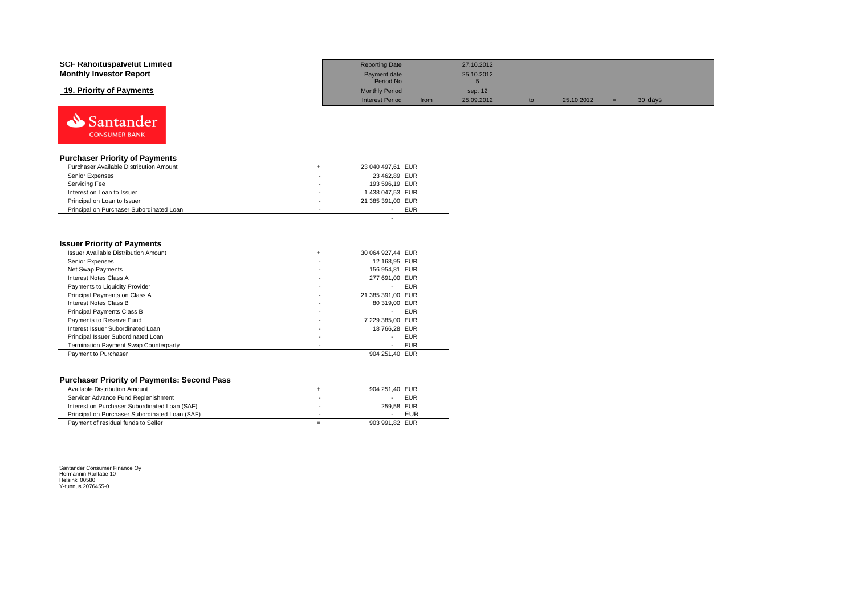| <b>SCF Rahoituspalvelut Limited</b><br><b>Monthly Investor Report</b> |                          | <b>Reporting Date</b><br>Payment date                   | 27.10.2012<br>25.10.2012 |    |            |     |         |
|-----------------------------------------------------------------------|--------------------------|---------------------------------------------------------|--------------------------|----|------------|-----|---------|
|                                                                       |                          | Period No                                               | 5 <sup>5</sup>           |    |            |     |         |
| 19. Priority of Payments                                              |                          | <b>Monthly Period</b><br><b>Interest Period</b><br>from | sep. 12<br>25.09.2012    | to | 25.10.2012 | $=$ | 30 days |
| Santander<br><b>CONSUMER BANK</b>                                     |                          |                                                         |                          |    |            |     |         |
| <b>Purchaser Priority of Payments</b>                                 |                          |                                                         |                          |    |            |     |         |
| Purchaser Available Distribution Amount                               | $+$                      | 23 040 497,61 EUR                                       |                          |    |            |     |         |
| Senior Expenses                                                       |                          | 23 462,89 EUR                                           |                          |    |            |     |         |
| Servicing Fee                                                         |                          | 193 596,19 EUR                                          |                          |    |            |     |         |
| Interest on Loan to Issuer                                            |                          | 1 438 047,53 EUR                                        |                          |    |            |     |         |
| Principal on Loan to Issuer                                           | $\overline{\phantom{a}}$ | 21 385 391,00 EUR                                       |                          |    |            |     |         |
| Principal on Purchaser Subordinated Loan                              |                          | <b>EUR</b><br>$\sim$                                    |                          |    |            |     |         |
|                                                                       |                          |                                                         |                          |    |            |     |         |
| <b>Issuer Priority of Payments</b>                                    |                          |                                                         |                          |    |            |     |         |
| <b>Issuer Available Distribution Amount</b>                           | $\ddot{}$                | 30 064 927,44 EUR                                       |                          |    |            |     |         |
| Senior Expenses                                                       |                          | 12 168,95 EUR                                           |                          |    |            |     |         |
| Net Swap Payments                                                     |                          | 156 954,81 EUR                                          |                          |    |            |     |         |
| Interest Notes Class A                                                |                          | 277 691,00 EUR                                          |                          |    |            |     |         |
| Payments to Liquidity Provider                                        |                          | <b>EUR</b><br>$\mathcal{L}_{\mathcal{A}}$               |                          |    |            |     |         |
| Principal Payments on Class A                                         |                          | 21 385 391,00 EUR                                       |                          |    |            |     |         |
| Interest Notes Class B                                                |                          | 80 319,00 EUR                                           |                          |    |            |     |         |
| Principal Payments Class B                                            |                          | <b>EUR</b><br>$\sim$                                    |                          |    |            |     |         |
| Payments to Reserve Fund                                              |                          | 7 229 385,00 EUR                                        |                          |    |            |     |         |
| Interest Issuer Subordinated Loan                                     |                          | 18 766,28 EUR                                           |                          |    |            |     |         |
| Principal Issuer Subordinated Loan                                    |                          | <b>EUR</b><br>$\sim$<br><b>EUR</b><br>$\sim$            |                          |    |            |     |         |
| Termination Payment Swap Counterparty<br>Payment to Purchaser         |                          | 904 251,40 EUR                                          |                          |    |            |     |         |
|                                                                       |                          |                                                         |                          |    |            |     |         |
|                                                                       |                          |                                                         |                          |    |            |     |         |
| <b>Purchaser Priority of Payments: Second Pass</b>                    |                          |                                                         |                          |    |            |     |         |
| Available Distribution Amount                                         | $\ddot{}$                | 904 251,40 EUR                                          |                          |    |            |     |         |
| Servicer Advance Fund Replenishment                                   |                          | <b>EUR</b><br>$\blacksquare$<br>259,58 EUR              |                          |    |            |     |         |
| Interest on Purchaser Subordinated Loan (SAF)                         | $\sim$                   | <b>EUR</b><br>$\blacksquare$                            |                          |    |            |     |         |
| Principal on Purchaser Subordinated Loan (SAF)                        | $\blacksquare$           | 903 991,82 EUR                                          |                          |    |            |     |         |
| Payment of residual funds to Seller                                   | $\equiv$                 |                                                         |                          |    |            |     |         |
|                                                                       |                          |                                                         |                          |    |            |     |         |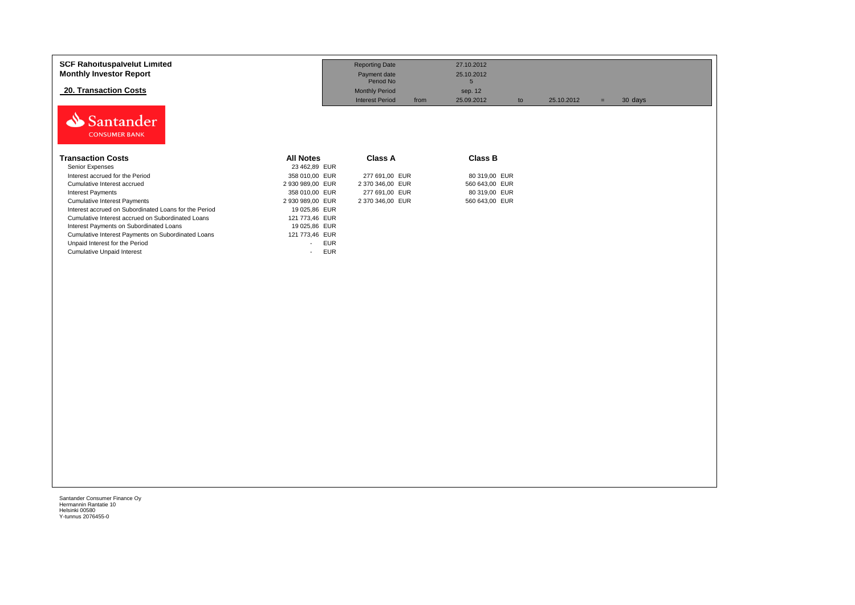| <b>SCF Rahoituspalvelut Limited</b><br><b>Monthly Investor Report</b><br><b>20. Transaction Costs</b> |                      | <b>Reporting Date</b><br>Payment date<br>Period No<br><b>Monthly Period</b><br><b>Interest Period</b> | from | 27.10.2012<br>25.10.2012<br>5<br>sep. 12<br>25.09.2012 | to | 25.10.2012 | $=$ | 30 days |  |
|-------------------------------------------------------------------------------------------------------|----------------------|-------------------------------------------------------------------------------------------------------|------|--------------------------------------------------------|----|------------|-----|---------|--|
| Santander<br><b>CONSUMER BANK</b>                                                                     |                      |                                                                                                       |      |                                                        |    |            |     |         |  |
| <b>Transaction Costs</b>                                                                              | <b>All Notes</b>     | <b>Class A</b>                                                                                        |      | <b>Class B</b>                                         |    |            |     |         |  |
| Senior Expenses                                                                                       | 23 462,89 EUR        |                                                                                                       |      |                                                        |    |            |     |         |  |
| Interest accrued for the Period                                                                       | 358 010,00 EUR       | 277 691,00 EUR                                                                                        |      | 80 319,00 EUR                                          |    |            |     |         |  |
| Cumulative Interest accrued                                                                           | 2 930 989,00 EUR     | 2 370 346,00 EUR                                                                                      |      | 560 643,00 EUR                                         |    |            |     |         |  |
| <b>Interest Payments</b>                                                                              | 358 010,00 EUR       | 277 691,00 EUR                                                                                        |      | 80 319,00 EUR                                          |    |            |     |         |  |
| <b>Cumulative Interest Payments</b>                                                                   | 2 930 989,00 EUR     | 2 370 346,00 EUR                                                                                      |      | 560 643,00 EUR                                         |    |            |     |         |  |
| Interest accrued on Subordinated Loans for the Period                                                 | 19 025,86 EUR        |                                                                                                       |      |                                                        |    |            |     |         |  |
| Cumulative Interest accrued on Subordinated Loans                                                     | 121 773,46 EUR       |                                                                                                       |      |                                                        |    |            |     |         |  |
| Interest Payments on Subordinated Loans                                                               | 19 025,86 EUR        |                                                                                                       |      |                                                        |    |            |     |         |  |
| Cumulative Interest Payments on Subordinated Loans                                                    | 121 773,46 EUR       |                                                                                                       |      |                                                        |    |            |     |         |  |
| Unpaid Interest for the Period                                                                        | <b>EUR</b><br>$\sim$ |                                                                                                       |      |                                                        |    |            |     |         |  |
| <b>Cumulative Unpaid Interest</b>                                                                     | <b>EUR</b><br>$\sim$ |                                                                                                       |      |                                                        |    |            |     |         |  |
|                                                                                                       |                      |                                                                                                       |      |                                                        |    |            |     |         |  |
|                                                                                                       |                      |                                                                                                       |      |                                                        |    |            |     |         |  |
|                                                                                                       |                      |                                                                                                       |      |                                                        |    |            |     |         |  |
|                                                                                                       |                      |                                                                                                       |      |                                                        |    |            |     |         |  |
|                                                                                                       |                      |                                                                                                       |      |                                                        |    |            |     |         |  |
|                                                                                                       |                      |                                                                                                       |      |                                                        |    |            |     |         |  |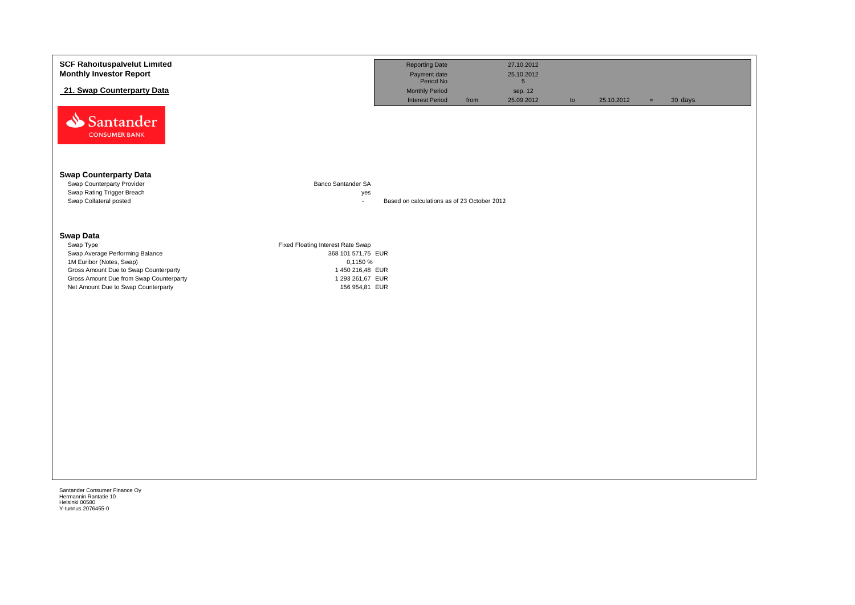| <b>SCF Rahoituspalvelut Limited</b><br><b>Monthly Investor Report</b>              |                                     | <b>Reporting Date</b><br>Payment date                        |      | 27.10.2012<br>25.10.2012                       |                        |         |
|------------------------------------------------------------------------------------|-------------------------------------|--------------------------------------------------------------|------|------------------------------------------------|------------------------|---------|
| 21. Swap Counterparty Data                                                         |                                     | Period No<br><b>Monthly Period</b><br><b>Interest Period</b> | from | $5\overline{)}$<br>sep. 12<br>25.09.2012<br>to | 25.10.2012<br>$\equiv$ | 30 days |
| Santander<br><b>CONSUMER BANK</b>                                                  |                                     |                                                              |      |                                                |                        |         |
| <b>Swap Counterparty Data</b>                                                      |                                     |                                                              |      |                                                |                        |         |
| Swap Counterparty Provider<br>Swap Rating Trigger Breach<br>Swap Collateral posted | Banco Santander SA<br>yes<br>$\sim$ | Based on calculations as of 23 October 2012                  |      |                                                |                        |         |
| <b>Swap Data</b><br>Swap Type                                                      | Fixed Floating Interest Rate Swap   |                                                              |      |                                                |                        |         |
| Swap Average Performing Balance<br>1M Euribor (Notes, Swap)                        | 368 101 571,75 EUR<br>0,1150 %      |                                                              |      |                                                |                        |         |
| Gross Amount Due to Swap Counterparty<br>Gross Amount Due from Swap Counterparty   | 1450 216,48 EUR<br>1 293 261,67 EUR |                                                              |      |                                                |                        |         |
| Net Amount Due to Swap Counterparty                                                | 156 954,81 EUR                      |                                                              |      |                                                |                        |         |
|                                                                                    |                                     |                                                              |      |                                                |                        |         |
|                                                                                    |                                     |                                                              |      |                                                |                        |         |
|                                                                                    |                                     |                                                              |      |                                                |                        |         |
|                                                                                    |                                     |                                                              |      |                                                |                        |         |
|                                                                                    |                                     |                                                              |      |                                                |                        |         |
|                                                                                    |                                     |                                                              |      |                                                |                        |         |
|                                                                                    |                                     |                                                              |      |                                                |                        |         |
|                                                                                    |                                     |                                                              |      |                                                |                        |         |
|                                                                                    |                                     |                                                              |      |                                                |                        |         |
|                                                                                    |                                     |                                                              |      |                                                |                        |         |
| Santander Consumer Finance Oy<br>Hermannin Rantatie 10                             |                                     |                                                              |      |                                                |                        |         |
| Helsinki 00580<br>Y-tunnus 2076455-0                                               |                                     |                                                              |      |                                                |                        |         |